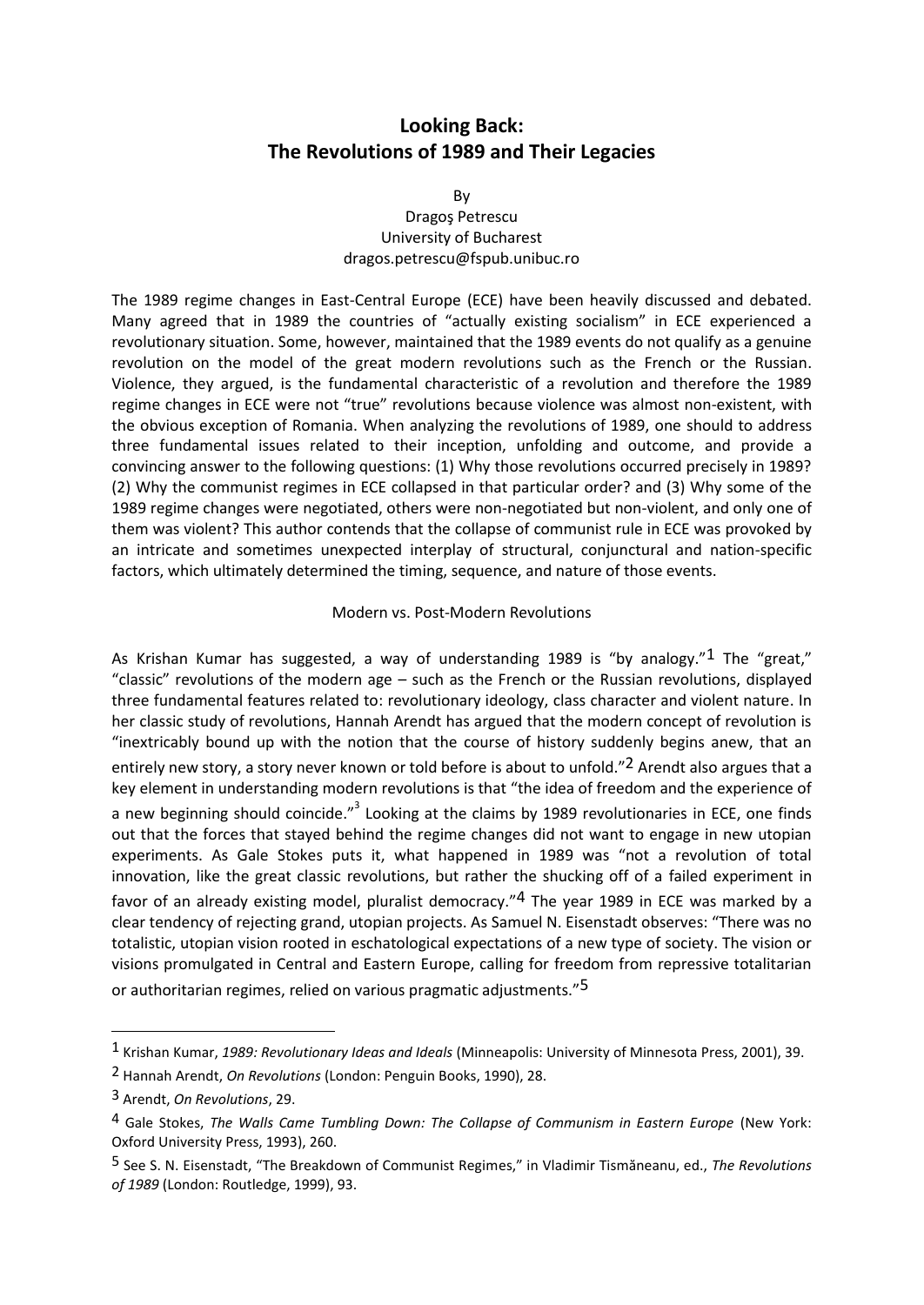## **Looking Back: The Revolutions of 1989 and Their Legacies**

By

## Dragoş Petrescu University of Bucharest dragos.petrescu@fspub.unibuc.ro

The 1989 regime changes in East-Central Europe (ECE) have been heavily discussed and debated. Many agreed that in 1989 the countries of "actually existing socialism" in ECE experienced a revolutionary situation. Some, however, maintained that the 1989 events do not qualify as a genuine revolution on the model of the great modern revolutions such as the French or the Russian. Violence, they argued, is the fundamental characteristic of a revolution and therefore the 1989 regime changes in ECE were not "true" revolutions because violence was almost non-existent, with the obvious exception of Romania. When analyzing the revolutions of 1989, one should to address three fundamental issues related to their inception, unfolding and outcome, and provide a convincing answer to the following questions: (1) Why those revolutions occurred precisely in 1989? (2) Why the communist regimes in ECE collapsed in that particular order? and (3) Why some of the 1989 regime changes were negotiated, others were non-negotiated but non-violent, and only one of them was violent? This author contends that the collapse of communist rule in ECE was provoked by an intricate and sometimes unexpected interplay of structural, conjunctural and nation-specific factors, which ultimately determined the timing, sequence, and nature of those events.

## Modern vs. Post-Modern Revolutions

As Krishan Kumar has suggested, a way of understanding 1989 is "by analogy."<sup>1</sup> The "great," "classic" revolutions of the modern age – such as the French or the Russian revolutions, displayed three fundamental features related to: revolutionary ideology, class character and violent nature. In her classic study of revolutions, Hannah Arendt has argued that the modern concept of revolution is "inextricably bound up with the notion that the course of history suddenly begins anew, that an entirely new story, a story never known or told before is about to unfold."<sup>2</sup> Arendt also argues that a key element in understanding modern revolutions is that "the idea of freedom and the experience of a new beginning should coincide."<sup>3</sup> Looking at the claims by 1989 revolutionaries in ECE, one finds out that the forces that stayed behind the regime changes did not want to engage in new utopian experiments. As Gale Stokes puts it, what happened in 1989 was "not a revolution of total innovation, like the great classic revolutions, but rather the shucking off of a failed experiment in favor of an already existing model, pluralist democracy."<sup>4</sup> The year 1989 in ECE was marked by a clear tendency of rejecting grand, utopian projects. As Samuel N. Eisenstadt observes: "There was no totalistic, utopian vision rooted in eschatological expectations of a new type of society. The vision or visions promulgated in Central and Eastern Europe, calling for freedom from repressive totalitarian or authoritarian regimes, relied on various pragmatic adjustments."5

<sup>1</sup> Krishan Kumar, *1989: Revolutionary Ideas and Ideals* (Minneapolis: University of Minnesota Press, 2001), 39.

<sup>2</sup> Hannah Arendt, *On Revolutions* (London: Penguin Books, 1990), 28.

<sup>3</sup> Arendt, *On Revolutions*, 29.

<sup>4</sup> Gale Stokes, *The Walls Came Tumbling Down: The Collapse of Communism in Eastern Europe* (New York: Oxford University Press, 1993), 260.

<sup>5</sup> See S. N. Eisenstadt, "The Breakdown of Communist Regimes," in Vladimir Tismăneanu, ed., *The Revolutions of 1989* (London: Routledge, 1999), 93.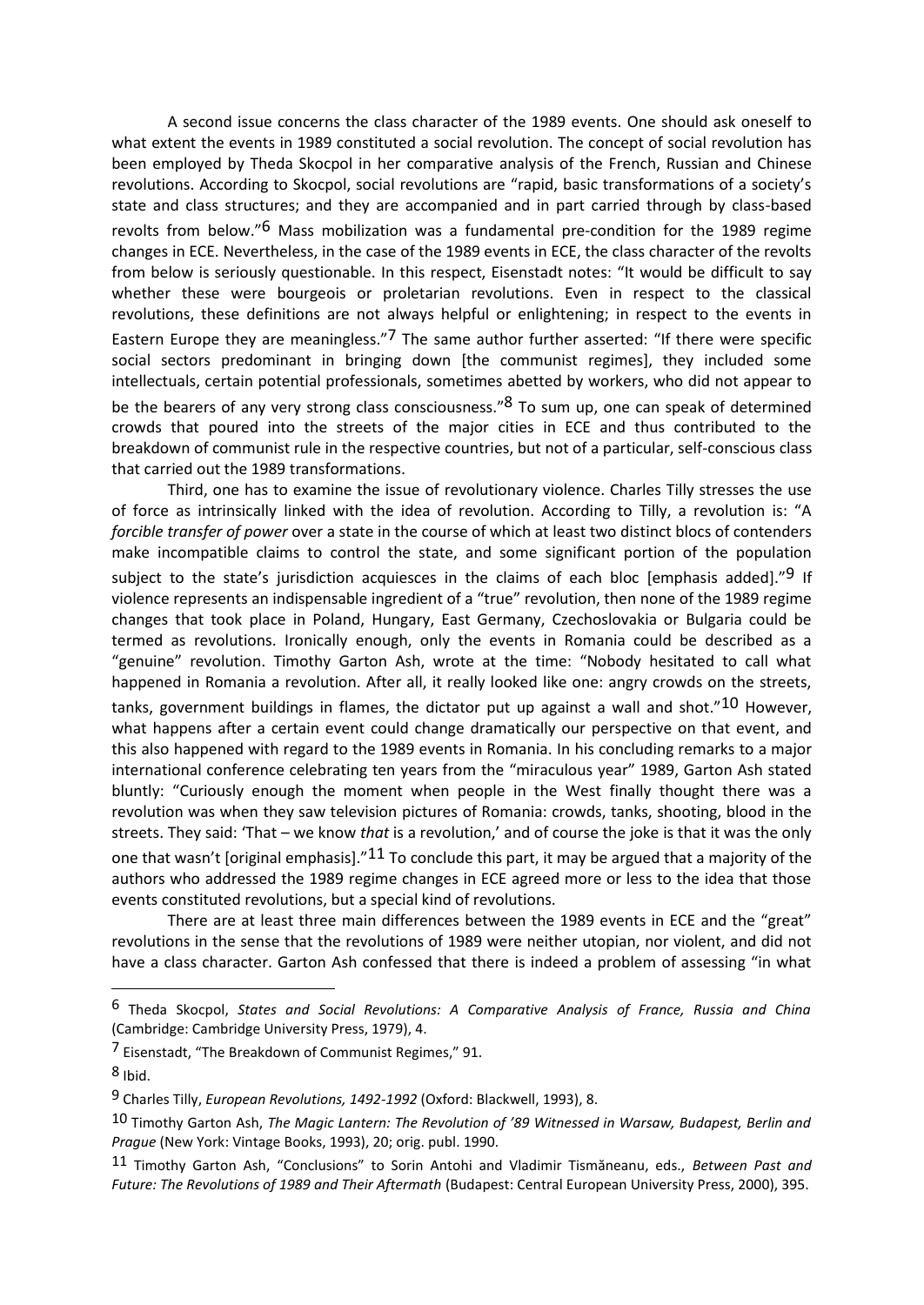A second issue concerns the class character of the 1989 events. One should ask oneself to what extent the events in 1989 constituted a social revolution. The concept of social revolution has been employed by Theda Skocpol in her comparative analysis of the French, Russian and Chinese revolutions. According to Skocpol, social revolutions are "rapid, basic transformations of a society's state and class structures; and they are accompanied and in part carried through by class-based revolts from below."6 Mass mobilization was a fundamental pre-condition for the 1989 regime changes in ECE. Nevertheless, in the case of the 1989 events in ECE, the class character of the revolts from below is seriously questionable. In this respect, Eisenstadt notes: "It would be difficult to say whether these were bourgeois or proletarian revolutions. Even in respect to the classical revolutions, these definitions are not always helpful or enlightening; in respect to the events in Eastern Europe they are meaningless."<sup>7</sup> The same author further asserted: "If there were specific social sectors predominant in bringing down [the communist regimes], they included some intellectuals, certain potential professionals, sometimes abetted by workers, who did not appear to be the bearers of any very strong class consciousness."<sup>8</sup> To sum up, one can speak of determined crowds that poured into the streets of the major cities in ECE and thus contributed to the breakdown of communist rule in the respective countries, but not of a particular, self-conscious class that carried out the 1989 transformations.

Third, one has to examine the issue of revolutionary violence. Charles Tilly stresses the use of force as intrinsically linked with the idea of revolution. According to Tilly, a revolution is: "A *forcible transfer of power* over a state in the course of which at least two distinct blocs of contenders make incompatible claims to control the state, and some significant portion of the population subject to the state's jurisdiction acquiesces in the claims of each bloc [emphasis added]."<sup>9</sup> If violence represents an indispensable ingredient of a "true" revolution, then none of the 1989 regime changes that took place in Poland, Hungary, East Germany, Czechoslovakia or Bulgaria could be termed as revolutions. Ironically enough, only the events in Romania could be described as a "genuine" revolution. Timothy Garton Ash, wrote at the time: "Nobody hesitated to call what happened in Romania a revolution. After all, it really looked like one: angry crowds on the streets, tanks, government buildings in flames, the dictator put up against a wall and shot."10 However, what happens after a certain event could change dramatically our perspective on that event, and this also happened with regard to the 1989 events in Romania. In his concluding remarks to a major international conference celebrating ten years from the "miraculous year" 1989, Garton Ash stated bluntly: "Curiously enough the moment when people in the West finally thought there was a revolution was when they saw television pictures of Romania: crowds, tanks, shooting, blood in the streets. They said: 'That – we know *that* is a revolution,' and of course the joke is that it was the only one that wasn't [original emphasis]." $11$  To conclude this part, it may be argued that a majority of the authors who addressed the 1989 regime changes in ECE agreed more or less to the idea that those events constituted revolutions, but a special kind of revolutions.

There are at least three main differences between the 1989 events in ECE and the "great" revolutions in the sense that the revolutions of 1989 were neither utopian, nor violent, and did not have a class character. Garton Ash confessed that there is indeed a problem of assessing "in what

 $8$  Ibid.

 $\overline{a}$ 

<sup>6</sup> Theda Skocpol, *States and Social Revolutions: A Comparative Analysis of France, Russia and China* (Cambridge: Cambridge University Press, 1979), 4.

<sup>7</sup> Eisenstadt, "The Breakdown of Communist Regimes," 91.

<sup>9</sup> Charles Tilly, *European Revolutions, 1492-1992* (Oxford: Blackwell, 1993), 8.

<sup>10</sup> Timothy Garton Ash, *The Magic Lantern: The Revolution of '89 Witnessed in Warsaw, Budapest, Berlin and Prague* (New York: Vintage Books, 1993), 20; orig. publ. 1990.

<sup>11</sup> Timothy Garton Ash, "Conclusions" to Sorin Antohi and Vladimir Tismăneanu, eds., *Between Past and Future: The Revolutions of 1989 and Their Aftermath* (Budapest: Central European University Press, 2000), 395.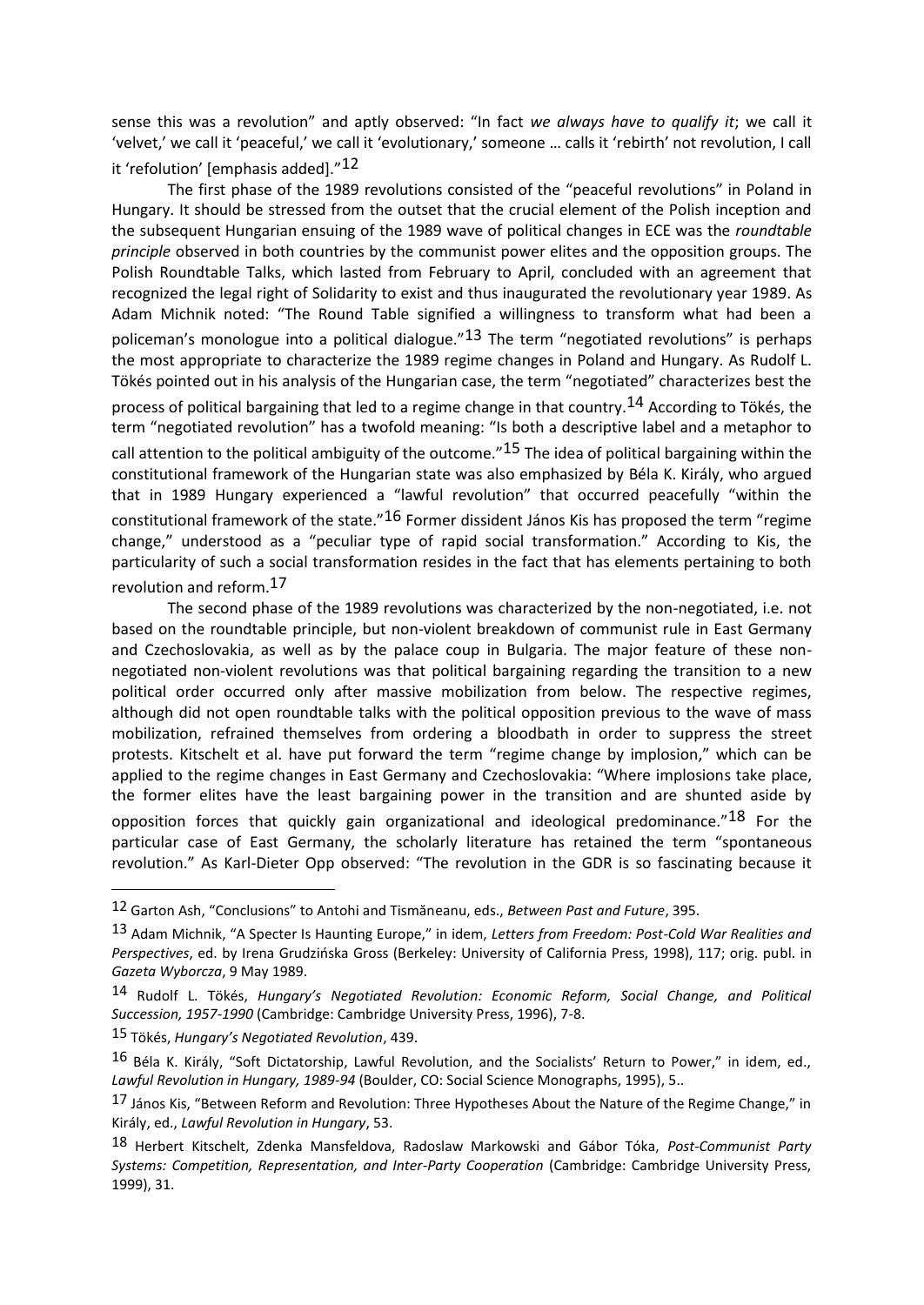sense this was a revolution" and aptly observed: "In fact *we always have to qualify it*; we call it 'velvet,' we call it 'peaceful,' we call it 'evolutionary,' someone … calls it 'rebirth' not revolution, I call it 'refolution' [emphasis added]."12

The first phase of the 1989 revolutions consisted of the "peaceful revolutions" in Poland in Hungary. It should be stressed from the outset that the crucial element of the Polish inception and the subsequent Hungarian ensuing of the 1989 wave of political changes in ECE was the *roundtable principle* observed in both countries by the communist power elites and the opposition groups. The Polish Roundtable Talks, which lasted from February to April, concluded with an agreement that recognized the legal right of Solidarity to exist and thus inaugurated the revolutionary year 1989. As Adam Michnik noted: "The Round Table signified a willingness to transform what had been a policeman's monologue into a political dialogue." $13$  The term "negotiated revolutions" is perhaps the most appropriate to characterize the 1989 regime changes in Poland and Hungary. As Rudolf L. Tökés pointed out in his analysis of the Hungarian case, the term "negotiated" characterizes best the process of political bargaining that led to a regime change in that country.<sup>14</sup> According to Tökés, the term "negotiated revolution" has a twofold meaning: "Is both a descriptive label and a metaphor to call attention to the political ambiguity of the outcome."<sup>15</sup> The idea of political bargaining within the constitutional framework of the Hungarian state was also emphasized by Béla K. Király, who argued that in 1989 Hungary experienced a "lawful revolution" that occurred peacefully "within the constitutional framework of the state."<sup>16</sup> Former dissident János Kis has proposed the term "regime change," understood as a "peculiar type of rapid social transformation." According to Kis, the particularity of such a social transformation resides in the fact that has elements pertaining to both revolution and reform.17

The second phase of the 1989 revolutions was characterized by the non-negotiated, i.e. not based on the roundtable principle, but non-violent breakdown of communist rule in East Germany and Czechoslovakia, as well as by the palace coup in Bulgaria. The major feature of these nonnegotiated non-violent revolutions was that political bargaining regarding the transition to a new political order occurred only after massive mobilization from below. The respective regimes, although did not open roundtable talks with the political opposition previous to the wave of mass mobilization, refrained themselves from ordering a bloodbath in order to suppress the street protests. Kitschelt et al. have put forward the term "regime change by implosion," which can be applied to the regime changes in East Germany and Czechoslovakia: "Where implosions take place, the former elites have the least bargaining power in the transition and are shunted aside by opposition forces that quickly gain organizational and ideological predominance."<sup>18</sup> For the particular case of East Germany, the scholarly literature has retained the term "spontaneous revolution." As Karl-Dieter Opp observed: "The revolution in the GDR is so fascinating because it

<sup>12</sup> Garton Ash, "Conclusions" to Antohi and Tismăneanu, eds., *Between Past and Future*, 395.

<sup>13</sup> Adam Michnik, "A Specter Is Haunting Europe," in idem, *Letters from Freedom: Post-Cold War Realities and Perspectives*, ed. by Irena Grudzińska Gross (Berkeley: University of California Press, 1998), 117; orig. publ. in *Gazeta Wyborcza*, 9 May 1989.

<sup>14</sup> Rudolf L. Tökés, *Hungary's Negotiated Revolution: Economic Reform, Social Change, and Political Succession, 1957-1990* (Cambridge: Cambridge University Press, 1996), 7-8.

<sup>15</sup> Tökés, *Hungary's Negotiated Revolution*, 439.

<sup>16</sup> Béla K. Király, "Soft Dictatorship, Lawful Revolution, and the Socialists' Return to Power," in idem, ed., *Lawful Revolution in Hungary, 1989-94* (Boulder, CO: Social Science Monographs, 1995), 5..

<sup>17</sup> János Kis, "Between Reform and Revolution: Three Hypotheses About the Nature of the Regime Change," in Király, ed., *Lawful Revolution in Hungary*, 53.

<sup>18</sup> Herbert Kitschelt, Zdenka Mansfeldova, Radoslaw Markowski and Gábor Tóka, *Post-Communist Party Systems: Competition, Representation, and Inter-Party Cooperation* (Cambridge: Cambridge University Press, 1999), 31.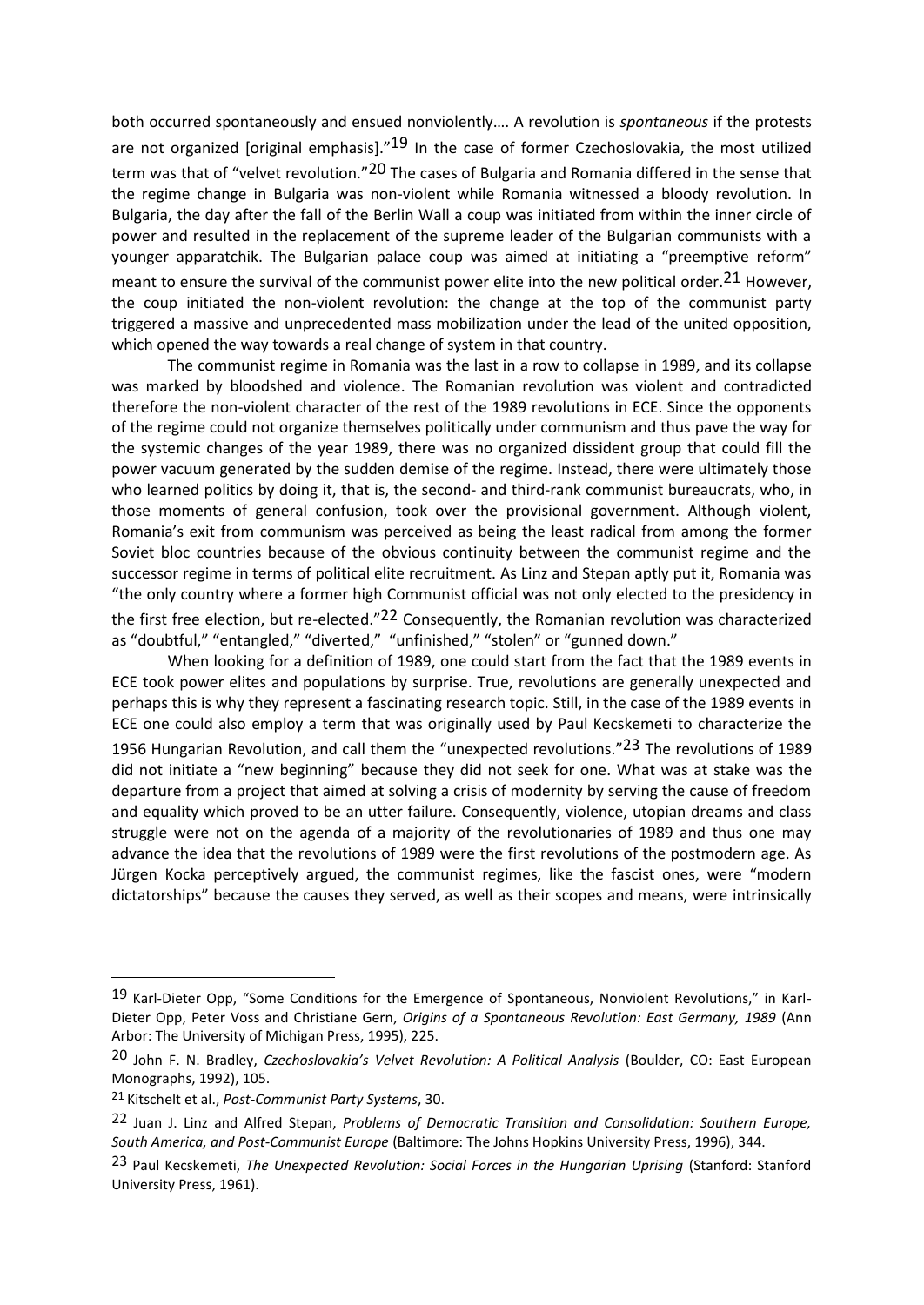both occurred spontaneously and ensued nonviolently…. A revolution is *spontaneous* if the protests are not organized [original emphasis]."<sup>19</sup> In the case of former Czechoslovakia, the most utilized term was that of "velvet revolution."20 The cases of Bulgaria and Romania differed in the sense that the regime change in Bulgaria was non-violent while Romania witnessed a bloody revolution. In Bulgaria, the day after the fall of the Berlin Wall a coup was initiated from within the inner circle of power and resulted in the replacement of the supreme leader of the Bulgarian communists with a younger apparatchik. The Bulgarian palace coup was aimed at initiating a "preemptive reform" meant to ensure the survival of the communist power elite into the new political order.<sup>21</sup> However, the coup initiated the non-violent revolution: the change at the top of the communist party triggered a massive and unprecedented mass mobilization under the lead of the united opposition, which opened the way towards a real change of system in that country.

The communist regime in Romania was the last in a row to collapse in 1989, and its collapse was marked by bloodshed and violence. The Romanian revolution was violent and contradicted therefore the non-violent character of the rest of the 1989 revolutions in ECE. Since the opponents of the regime could not organize themselves politically under communism and thus pave the way for the systemic changes of the year 1989, there was no organized dissident group that could fill the power vacuum generated by the sudden demise of the regime. Instead, there were ultimately those who learned politics by doing it, that is, the second- and third-rank communist bureaucrats, who, in those moments of general confusion, took over the provisional government. Although violent, Romania's exit from communism was perceived as being the least radical from among the former Soviet bloc countries because of the obvious continuity between the communist regime and the successor regime in terms of political elite recruitment. As Linz and Stepan aptly put it, Romania was "the only country where a former high Communist official was not only elected to the presidency in the first free election, but re-elected."<sup>22</sup> Consequently, the Romanian revolution was characterized as "doubtful," "entangled," "diverted," "unfinished," "stolen" or "gunned down."

When looking for a definition of 1989, one could start from the fact that the 1989 events in ECE took power elites and populations by surprise. True, revolutions are generally unexpected and perhaps this is why they represent a fascinating research topic. Still, in the case of the 1989 events in ECE one could also employ a term that was originally used by Paul Kecskemeti to characterize the 1956 Hungarian Revolution, and call them the "unexpected revolutions."23 The revolutions of 1989 did not initiate a "new beginning" because they did not seek for one. What was at stake was the departure from a project that aimed at solving a crisis of modernity by serving the cause of freedom and equality which proved to be an utter failure. Consequently, violence, utopian dreams and class struggle were not on the agenda of a majority of the revolutionaries of 1989 and thus one may advance the idea that the revolutions of 1989 were the first revolutions of the postmodern age. As Jürgen Kocka perceptively argued, the communist regimes, like the fascist ones, were "modern dictatorships" because the causes they served, as well as their scopes and means, were intrinsically

<sup>19</sup> Karl-Dieter Opp, "Some Conditions for the Emergence of Spontaneous, Nonviolent Revolutions," in Karl-Dieter Opp, Peter Voss and Christiane Gern, *Origins of a Spontaneous Revolution: East Germany, 1989* (Ann Arbor: The University of Michigan Press, 1995), 225.

<sup>20</sup> John F. N. Bradley, *Czechoslovakia's Velvet Revolution: A Political Analysis* (Boulder, CO: East European Monographs, 1992), 105.

<sup>21</sup> Kitschelt et al., *Post-Communist Party Systems*, 30.

<sup>22</sup> Juan J. Linz and Alfred Stepan, *Problems of Democratic Transition and Consolidation: Southern Europe, South America, and Post-Communist Europe* (Baltimore: The Johns Hopkins University Press, 1996), 344.

<sup>23</sup> Paul Kecskemeti, *The Unexpected Revolution: Social Forces in the Hungarian Uprising* (Stanford: Stanford University Press, 1961).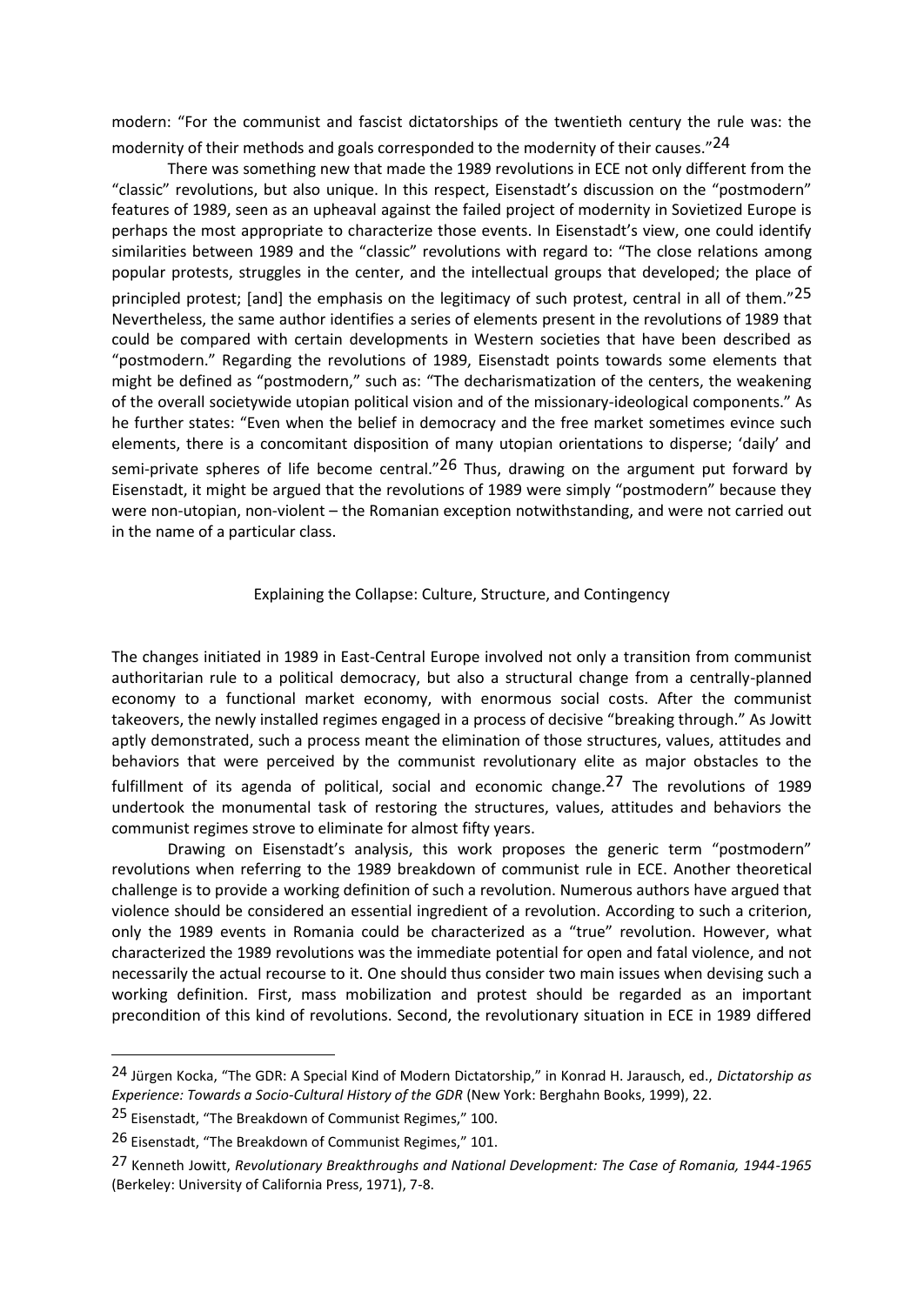modern: "For the communist and fascist dictatorships of the twentieth century the rule was: the modernity of their methods and goals corresponded to the modernity of their causes."24

There was something new that made the 1989 revolutions in ECE not only different from the "classic" revolutions, but also unique. In this respect, Eisenstadt's discussion on the "postmodern" features of 1989, seen as an upheaval against the failed project of modernity in Sovietized Europe is perhaps the most appropriate to characterize those events. In Eisenstadt's view, one could identify similarities between 1989 and the "classic" revolutions with regard to: "The close relations among popular protests, struggles in the center, and the intellectual groups that developed; the place of principled protest; [and] the emphasis on the legitimacy of such protest, central in all of them."25 Nevertheless, the same author identifies a series of elements present in the revolutions of 1989 that could be compared with certain developments in Western societies that have been described as "postmodern." Regarding the revolutions of 1989, Eisenstadt points towards some elements that might be defined as "postmodern," such as: "The decharismatization of the centers, the weakening of the overall societywide utopian political vision and of the missionary-ideological components." As he further states: "Even when the belief in democracy and the free market sometimes evince such elements, there is a concomitant disposition of many utopian orientations to disperse; 'daily' and semi-private spheres of life become central." $26$  Thus, drawing on the argument put forward by Eisenstadt, it might be argued that the revolutions of 1989 were simply "postmodern" because they were non-utopian, non-violent – the Romanian exception notwithstanding, and were not carried out in the name of a particular class.

## Explaining the Collapse: Culture, Structure, and Contingency

The changes initiated in 1989 in East-Central Europe involved not only a transition from communist authoritarian rule to a political democracy, but also a structural change from a centrally-planned economy to a functional market economy, with enormous social costs. After the communist takeovers, the newly installed regimes engaged in a process of decisive "breaking through." As Jowitt aptly demonstrated, such a process meant the elimination of those structures, values, attitudes and behaviors that were perceived by the communist revolutionary elite as major obstacles to the fulfillment of its agenda of political, social and economic change.<sup>27</sup> The revolutions of 1989 undertook the monumental task of restoring the structures, values, attitudes and behaviors the communist regimes strove to eliminate for almost fifty years.

Drawing on Eisenstadt's analysis, this work proposes the generic term "postmodern" revolutions when referring to the 1989 breakdown of communist rule in ECE. Another theoretical challenge is to provide a working definition of such a revolution. Numerous authors have argued that violence should be considered an essential ingredient of a revolution. According to such a criterion, only the 1989 events in Romania could be characterized as a "true" revolution. However, what characterized the 1989 revolutions was the immediate potential for open and fatal violence, and not necessarily the actual recourse to it. One should thus consider two main issues when devising such a working definition. First, mass mobilization and protest should be regarded as an important precondition of this kind of revolutions. Second, the revolutionary situation in ECE in 1989 differed

<sup>24</sup> Jürgen Kocka, "The GDR: A Special Kind of Modern Dictatorship," in Konrad H. Jarausch, ed., *Dictatorship as Experience: Towards a Socio-Cultural History of the GDR* (New York: Berghahn Books, 1999), 22.

<sup>25</sup> Eisenstadt, "The Breakdown of Communist Regimes," 100.

<sup>26</sup> Eisenstadt, "The Breakdown of Communist Regimes," 101.

<sup>27</sup> Kenneth Jowitt, *Revolutionary Breakthroughs and National Development: The Case of Romania, 1944-1965* (Berkeley: University of California Press, 1971), 7-8.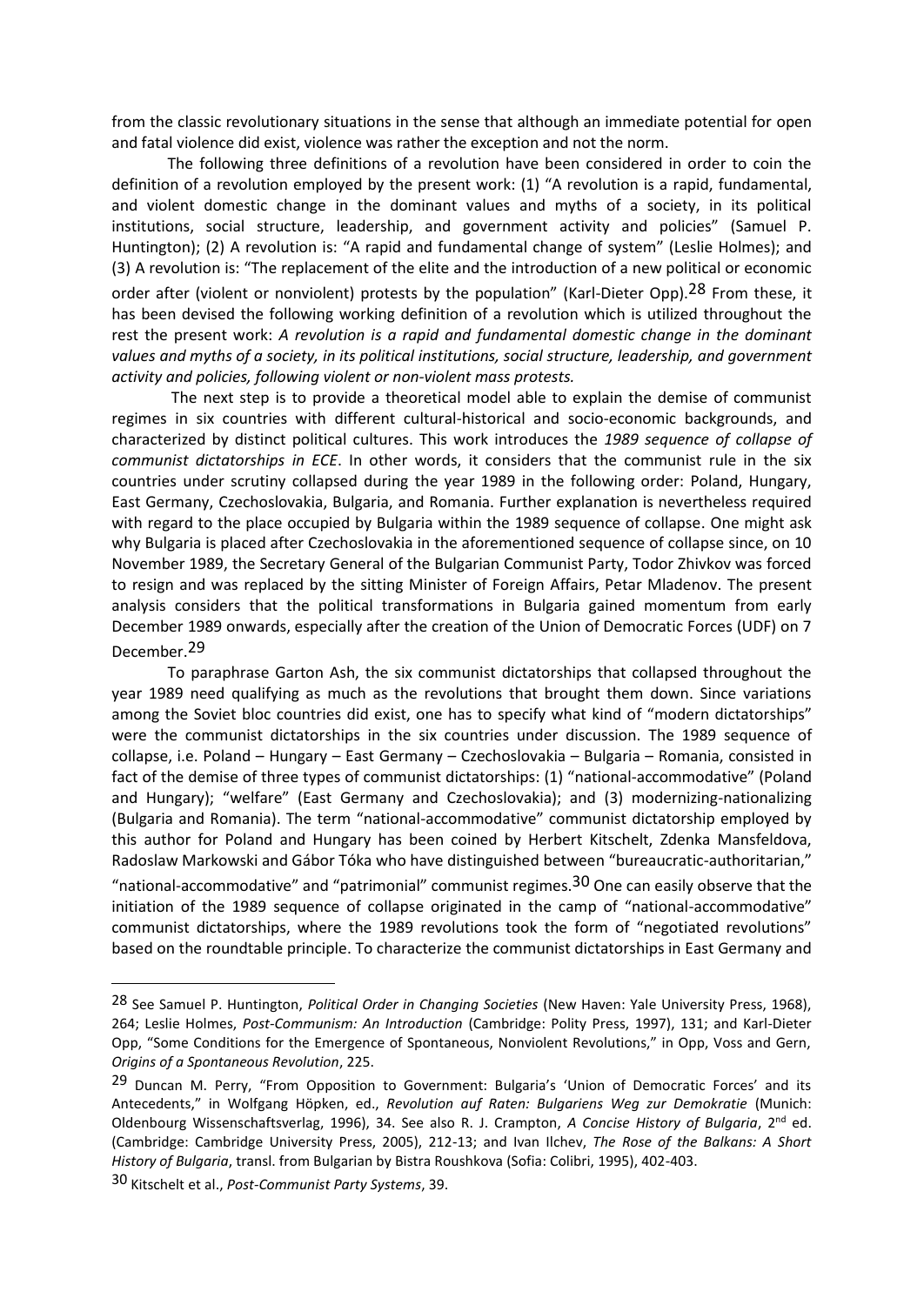from the classic revolutionary situations in the sense that although an immediate potential for open and fatal violence did exist, violence was rather the exception and not the norm.

The following three definitions of a revolution have been considered in order to coin the definition of a revolution employed by the present work: (1) "A revolution is a rapid, fundamental, and violent domestic change in the dominant values and myths of a society, in its political institutions, social structure, leadership, and government activity and policies" (Samuel P. Huntington); (2) A revolution is: "A rapid and fundamental change of system" (Leslie Holmes); and (3) A revolution is: "The replacement of the elite and the introduction of a new political or economic order after (violent or nonviolent) protests by the population" (Karl-Dieter Opp).<sup>28</sup> From these, it has been devised the following working definition of a revolution which is utilized throughout the rest the present work: *A revolution is a rapid and fundamental domestic change in the dominant values and myths of a society, in its political institutions, social structure, leadership, and government activity and policies, following violent or non-violent mass protests.*

The next step is to provide a theoretical model able to explain the demise of communist regimes in six countries with different cultural-historical and socio-economic backgrounds, and characterized by distinct political cultures. This work introduces the *1989 sequence of collapse of communist dictatorships in ECE*. In other words, it considers that the communist rule in the six countries under scrutiny collapsed during the year 1989 in the following order: Poland, Hungary, East Germany, Czechoslovakia, Bulgaria, and Romania. Further explanation is nevertheless required with regard to the place occupied by Bulgaria within the 1989 sequence of collapse. One might ask why Bulgaria is placed after Czechoslovakia in the aforementioned sequence of collapse since, on 10 November 1989, the Secretary General of the Bulgarian Communist Party, Todor Zhivkov was forced to resign and was replaced by the sitting Minister of Foreign Affairs, Petar Mladenov. The present analysis considers that the political transformations in Bulgaria gained momentum from early December 1989 onwards, especially after the creation of the Union of Democratic Forces (UDF) on 7 December.29

To paraphrase Garton Ash, the six communist dictatorships that collapsed throughout the year 1989 need qualifying as much as the revolutions that brought them down. Since variations among the Soviet bloc countries did exist, one has to specify what kind of "modern dictatorships" were the communist dictatorships in the six countries under discussion. The 1989 sequence of collapse, i.e. Poland – Hungary – East Germany – Czechoslovakia – Bulgaria – Romania, consisted in fact of the demise of three types of communist dictatorships: (1) "national-accommodative" (Poland and Hungary); "welfare" (East Germany and Czechoslovakia); and (3) modernizing-nationalizing (Bulgaria and Romania). The term "national-accommodative" communist dictatorship employed by this author for Poland and Hungary has been coined by Herbert Kitschelt, Zdenka Mansfeldova, Radoslaw Markowski and Gábor Tóka who have distinguished between "bureaucratic-authoritarian,"

"national-accommodative" and "patrimonial" communist regimes.30 One can easily observe that the initiation of the 1989 sequence of collapse originated in the camp of "national-accommodative" communist dictatorships, where the 1989 revolutions took the form of "negotiated revolutions" based on the roundtable principle. To characterize the communist dictatorships in East Germany and

<sup>28</sup> See Samuel P. Huntington, *Political Order in Changing Societies* (New Haven: Yale University Press, 1968), 264; Leslie Holmes, *Post-Communism: An Introduction* (Cambridge: Polity Press, 1997), 131; and Karl-Dieter Opp, "Some Conditions for the Emergence of Spontaneous, Nonviolent Revolutions," in Opp, Voss and Gern, *Origins of a Spontaneous Revolution*, 225.

<sup>&</sup>lt;sup>29</sup> Duncan M. Perry, "From Opposition to Government: Bulgaria's 'Union of Democratic Forces' and its Antecedents," in Wolfgang Höpken, ed., *Revolution auf Raten: Bulgariens Weg zur Demokratie* (Munich: Oldenbourg Wissenschaftsverlag, 1996), 34. See also R. J. Crampton, *A Concise History of Bulgaria*, 2nd ed. (Cambridge: Cambridge University Press, 2005), 212-13; and Ivan Ilchev, *The Rose of the Balkans: A Short History of Bulgaria*, transl. from Bulgarian by Bistra Roushkova (Sofia: Colibri, 1995), 402-403.

<sup>30</sup> Kitschelt et al., *Post-Communist Party Systems*, 39.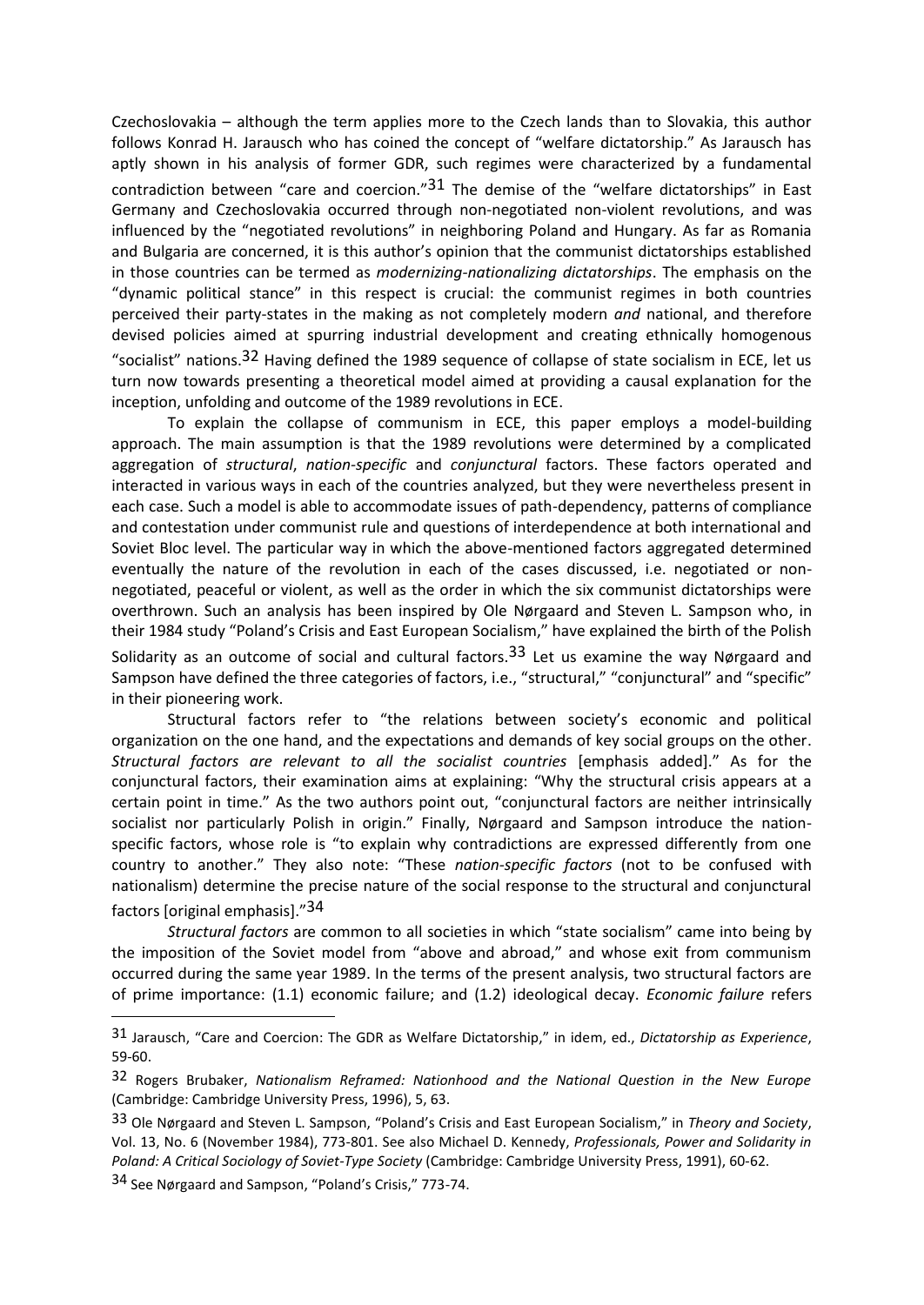Czechoslovakia – although the term applies more to the Czech lands than to Slovakia, this author follows Konrad H. Jarausch who has coined the concept of "welfare dictatorship." As Jarausch has aptly shown in his analysis of former GDR, such regimes were characterized by a fundamental contradiction between "care and coercion." $31$  The demise of the "welfare dictatorships" in East Germany and Czechoslovakia occurred through non-negotiated non-violent revolutions, and was influenced by the "negotiated revolutions" in neighboring Poland and Hungary. As far as Romania and Bulgaria are concerned, it is this author's opinion that the communist dictatorships established in those countries can be termed as *modernizing-nationalizing dictatorships*. The emphasis on the "dynamic political stance" in this respect is crucial: the communist regimes in both countries perceived their party-states in the making as not completely modern *and* national, and therefore devised policies aimed at spurring industrial development and creating ethnically homogenous "socialist" nations.32 Having defined the 1989 sequence of collapse of state socialism in ECE, let us turn now towards presenting a theoretical model aimed at providing a causal explanation for the inception, unfolding and outcome of the 1989 revolutions in ECE.

To explain the collapse of communism in ECE, this paper employs a model-building approach. The main assumption is that the 1989 revolutions were determined by a complicated aggregation of *structural*, *nation-specific* and *conjunctural* factors. These factors operated and interacted in various ways in each of the countries analyzed, but they were nevertheless present in each case. Such a model is able to accommodate issues of path-dependency, patterns of compliance and contestation under communist rule and questions of interdependence at both international and Soviet Bloc level. The particular way in which the above-mentioned factors aggregated determined eventually the nature of the revolution in each of the cases discussed, i.e. negotiated or nonnegotiated, peaceful or violent, as well as the order in which the six communist dictatorships were overthrown. Such an analysis has been inspired by Ole Nørgaard and Steven L. Sampson who, in their 1984 study "Poland's Crisis and East European Socialism," have explained the birth of the Polish Solidarity as an outcome of social and cultural factors.<sup>33</sup> Let us examine the way Nørgaard and Sampson have defined the three categories of factors, i.e., "structural," "conjunctural" and "specific" in their pioneering work.

Structural factors refer to "the relations between society's economic and political organization on the one hand, and the expectations and demands of key social groups on the other. *Structural factors are relevant to all the socialist countries* [emphasis added]." As for the conjunctural factors, their examination aims at explaining: "Why the structural crisis appears at a certain point in time." As the two authors point out, "conjunctural factors are neither intrinsically socialist nor particularly Polish in origin." Finally, Nørgaard and Sampson introduce the nationspecific factors, whose role is "to explain why contradictions are expressed differently from one country to another." They also note: "These *nation-specific factors* (not to be confused with nationalism) determine the precise nature of the social response to the structural and conjunctural factors [original emphasis]."34

*Structural factors* are common to all societies in which "state socialism" came into being by the imposition of the Soviet model from "above and abroad," and whose exit from communism occurred during the same year 1989. In the terms of the present analysis, two structural factors are of prime importance: (1.1) economic failure; and (1.2) ideological decay. *Economic failure* refers

<sup>31</sup> Jarausch, "Care and Coercion: The GDR as Welfare Dictatorship," in idem, ed., *Dictatorship as Experience*, 59-60.

<sup>32</sup> Rogers Brubaker, *Nationalism Reframed: Nationhood and the National Question in the New Europe* (Cambridge: Cambridge University Press, 1996), 5, 63.

<sup>33</sup> Ole Nørgaard and Steven L. Sampson, "Poland's Crisis and East European Socialism," in *Theory and Society*, Vol. 13, No. 6 (November 1984), 773-801. See also Michael D. Kennedy, *Professionals, Power and Solidarity in Poland: A Critical Sociology of Soviet-Type Society* (Cambridge: Cambridge University Press, 1991), 60-62.

<sup>34</sup> See Nørgaard and Sampson, "Poland's Crisis," 773-74.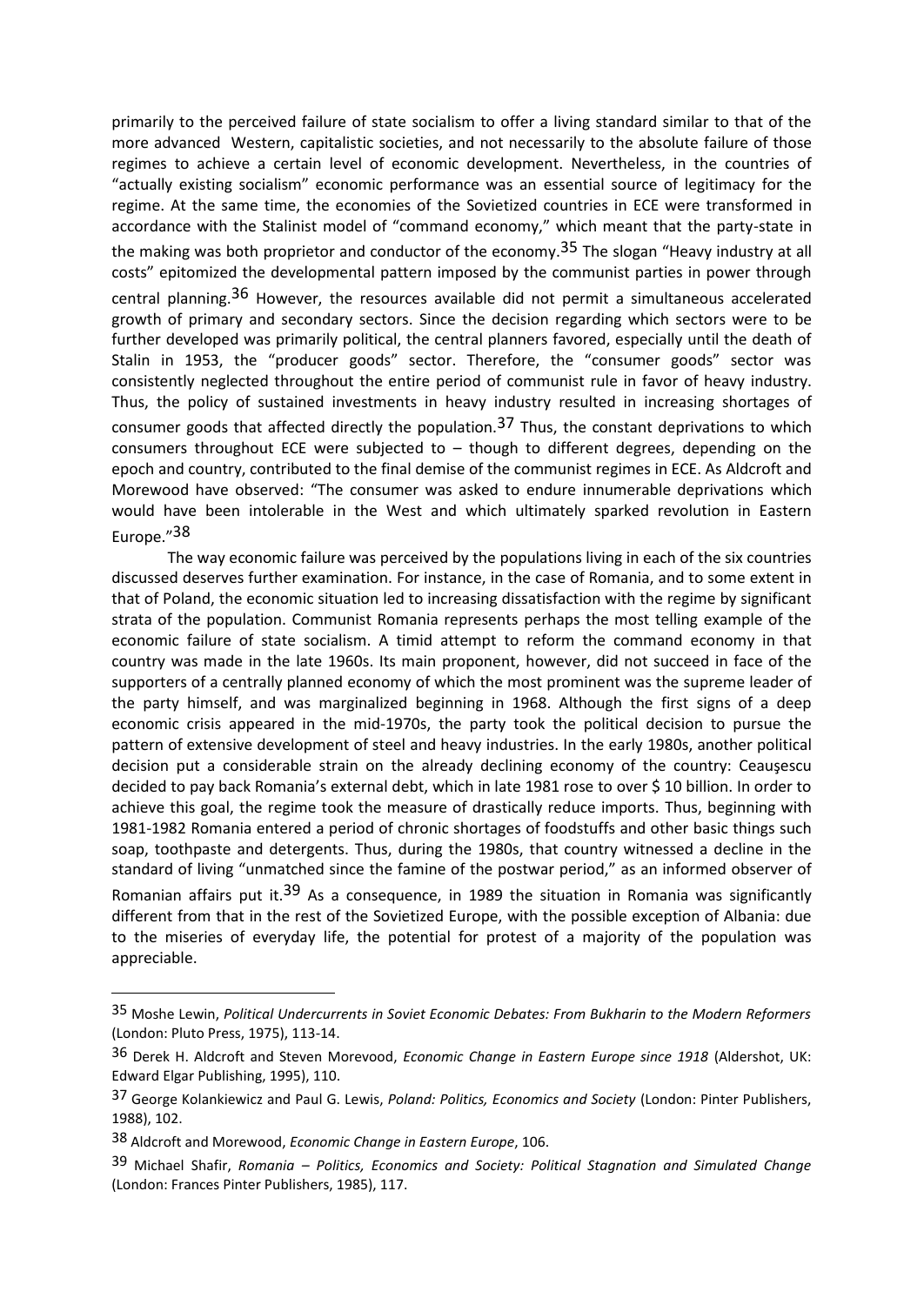primarily to the perceived failure of state socialism to offer a living standard similar to that of the more advanced Western, capitalistic societies, and not necessarily to the absolute failure of those regimes to achieve a certain level of economic development. Nevertheless, in the countries of "actually existing socialism" economic performance was an essential source of legitimacy for the regime. At the same time, the economies of the Sovietized countries in ECE were transformed in accordance with the Stalinist model of "command economy," which meant that the party-state in the making was both proprietor and conductor of the economy.<sup>35</sup> The slogan "Heavy industry at all costs" epitomized the developmental pattern imposed by the communist parties in power through central planning.<sup>36</sup> However, the resources available did not permit a simultaneous accelerated growth of primary and secondary sectors. Since the decision regarding which sectors were to be further developed was primarily political, the central planners favored, especially until the death of Stalin in 1953, the "producer goods" sector. Therefore, the "consumer goods" sector was consistently neglected throughout the entire period of communist rule in favor of heavy industry. Thus, the policy of sustained investments in heavy industry resulted in increasing shortages of consumer goods that affected directly the population.<sup>37</sup> Thus, the constant deprivations to which consumers throughout ECE were subjected to – though to different degrees, depending on the epoch and country, contributed to the final demise of the communist regimes in ECE. As Aldcroft and Morewood have observed: "The consumer was asked to endure innumerable deprivations which would have been intolerable in the West and which ultimately sparked revolution in Eastern Europe."38

The way economic failure was perceived by the populations living in each of the six countries discussed deserves further examination. For instance, in the case of Romania, and to some extent in that of Poland, the economic situation led to increasing dissatisfaction with the regime by significant strata of the population. Communist Romania represents perhaps the most telling example of the economic failure of state socialism. A timid attempt to reform the command economy in that country was made in the late 1960s. Its main proponent, however, did not succeed in face of the supporters of a centrally planned economy of which the most prominent was the supreme leader of the party himself, and was marginalized beginning in 1968. Although the first signs of a deep economic crisis appeared in the mid-1970s, the party took the political decision to pursue the pattern of extensive development of steel and heavy industries. In the early 1980s, another political decision put a considerable strain on the already declining economy of the country: Ceauşescu decided to pay back Romania's external debt, which in late 1981 rose to over \$ 10 billion. In order to achieve this goal, the regime took the measure of drastically reduce imports. Thus, beginning with 1981-1982 Romania entered a period of chronic shortages of foodstuffs and other basic things such soap, toothpaste and detergents. Thus, during the 1980s, that country witnessed a decline in the standard of living "unmatched since the famine of the postwar period," as an informed observer of Romanian affairs put it.<sup>39</sup> As a consequence, in 1989 the situation in Romania was significantly different from that in the rest of the Sovietized Europe, with the possible exception of Albania: due to the miseries of everyday life, the potential for protest of a majority of the population was

appreciable.

 $\overline{a}$ 

<sup>35</sup> Moshe Lewin, *Political Undercurrents in Soviet Economic Debates: From Bukharin to the Modern Reformers* (London: Pluto Press, 1975), 113-14.

<sup>36</sup> Derek H. Aldcroft and Steven Morevood, *Economic Change in Eastern Europe since 1918* (Aldershot, UK: Edward Elgar Publishing, 1995), 110.

<sup>37</sup> George Kolankiewicz and Paul G. Lewis, *Poland: Politics, Economics and Society* (London: Pinter Publishers, 1988), 102.

<sup>38</sup> Aldcroft and Morewood, *Economic Change in Eastern Europe*, 106.

<sup>39</sup> Michael Shafir, *Romania – Politics, Economics and Society: Political Stagnation and Simulated Change*  (London: Frances Pinter Publishers, 1985), 117.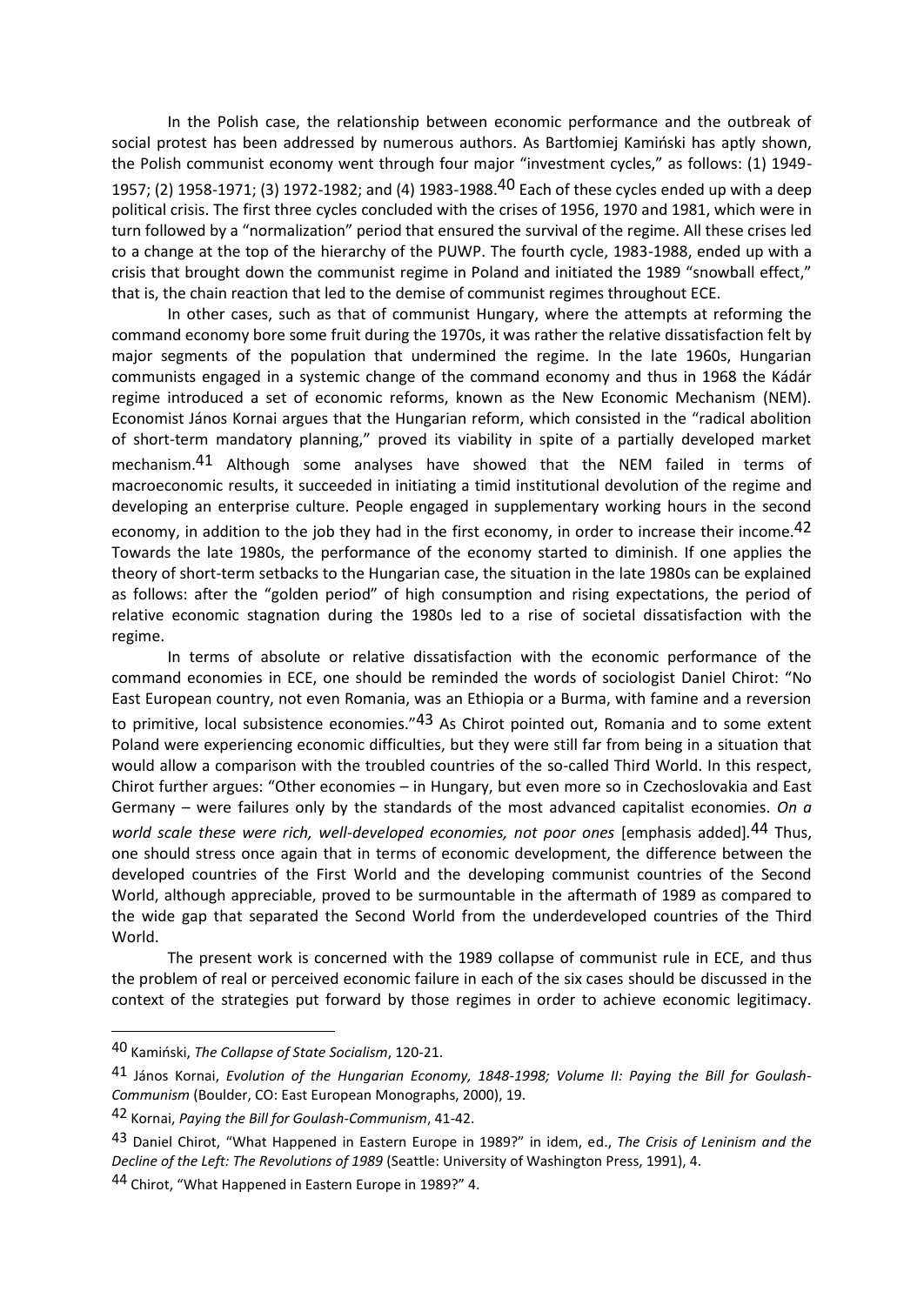In the Polish case, the relationship between economic performance and the outbreak of social protest has been addressed by numerous authors. As Bartłomiej Kamiński has aptly shown, the Polish communist economy went through four major "investment cycles," as follows: (1) 1949- 1957; (2) 1958-1971; (3) 1972-1982; and (4) 1983-1988.40 Each of these cycles ended up with a deep political crisis. The first three cycles concluded with the crises of 1956, 1970 and 1981, which were in turn followed by a "normalization" period that ensured the survival of the regime. All these crises led to a change at the top of the hierarchy of the PUWP. The fourth cycle, 1983-1988, ended up with a crisis that brought down the communist regime in Poland and initiated the 1989 "snowball effect," that is, the chain reaction that led to the demise of communist regimes throughout ECE.

In other cases, such as that of communist Hungary, where the attempts at reforming the command economy bore some fruit during the 1970s, it was rather the relative dissatisfaction felt by major segments of the population that undermined the regime. In the late 1960s, Hungarian communists engaged in a systemic change of the command economy and thus in 1968 the Kádár regime introduced a set of economic reforms, known as the New Economic Mechanism (NEM). Economist János Kornai argues that the Hungarian reform, which consisted in the "radical abolition of short-term mandatory planning," proved its viability in spite of a partially developed market mechanism.41 Although some analyses have showed that the NEM failed in terms of macroeconomic results, it succeeded in initiating a timid institutional devolution of the regime and developing an enterprise culture. People engaged in supplementary working hours in the second economy, in addition to the job they had in the first economy, in order to increase their income.<sup>42</sup> Towards the late 1980s, the performance of the economy started to diminish. If one applies the theory of short-term setbacks to the Hungarian case, the situation in the late 1980s can be explained as follows: after the "golden period" of high consumption and rising expectations, the period of relative economic stagnation during the 1980s led to a rise of societal dissatisfaction with the regime.

In terms of absolute or relative dissatisfaction with the economic performance of the command economies in ECE, one should be reminded the words of sociologist Daniel Chirot: "No East European country, not even Romania, was an Ethiopia or a Burma, with famine and a reversion to primitive, local subsistence economies."43 As Chirot pointed out, Romania and to some extent Poland were experiencing economic difficulties, but they were still far from being in a situation that would allow a comparison with the troubled countries of the so-called Third World. In this respect, Chirot further argues: "Other economies – in Hungary, but even more so in Czechoslovakia and East Germany – were failures only by the standards of the most advanced capitalist economies. *On a*  world scale these were rich, well-developed economies, not poor ones [emphasis added].<sup>44</sup> Thus, one should stress once again that in terms of economic development, the difference between the developed countries of the First World and the developing communist countries of the Second World, although appreciable, proved to be surmountable in the aftermath of 1989 as compared to the wide gap that separated the Second World from the underdeveloped countries of the Third World.

The present work is concerned with the 1989 collapse of communist rule in ECE, and thus the problem of real or perceived economic failure in each of the six cases should be discussed in the context of the strategies put forward by those regimes in order to achieve economic legitimacy.

<sup>40</sup> Kamiński, *The Collapse of State Socialism*, 120-21.

<sup>41</sup> János Kornai, *Evolution of the Hungarian Economy, 1848-1998; Volume II: Paying the Bill for Goulash-Communism* (Boulder, CO: East European Monographs, 2000), 19.

<sup>42</sup> Kornai, *Paying the Bill for Goulash-Communism*, 41-42.

<sup>43</sup> Daniel Chirot, "What Happened in Eastern Europe in 1989?" in idem, ed., *The Crisis of Leninism and the Decline of the Left: The Revolutions of 1989* (Seattle: University of Washington Press, 1991), 4.

<sup>44</sup> Chirot, "What Happened in Eastern Europe in 1989?" 4.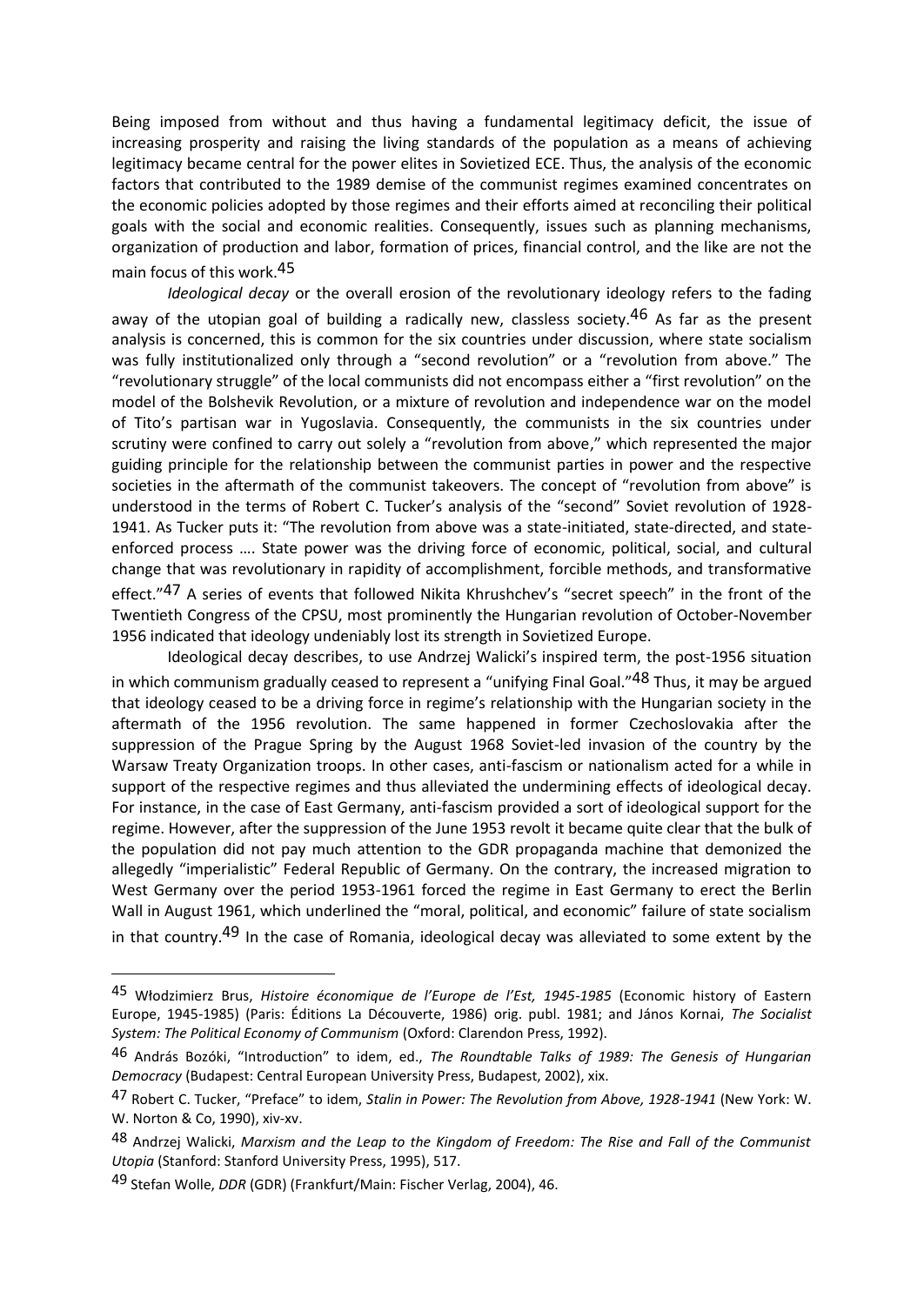Being imposed from without and thus having a fundamental legitimacy deficit, the issue of increasing prosperity and raising the living standards of the population as a means of achieving legitimacy became central for the power elites in Sovietized ECE. Thus, the analysis of the economic factors that contributed to the 1989 demise of the communist regimes examined concentrates on the economic policies adopted by those regimes and their efforts aimed at reconciling their political goals with the social and economic realities. Consequently, issues such as planning mechanisms, organization of production and labor, formation of prices, financial control, and the like are not the main focus of this work.45

*Ideological decay* or the overall erosion of the revolutionary ideology refers to the fading away of the utopian goal of building a radically new, classless society.<sup>46</sup> As far as the present analysis is concerned, this is common for the six countries under discussion, where state socialism was fully institutionalized only through a "second revolution" or a "revolution from above." The "revolutionary struggle" of the local communists did not encompass either a "first revolution" on the model of the Bolshevik Revolution, or a mixture of revolution and independence war on the model of Tito's partisan war in Yugoslavia. Consequently, the communists in the six countries under scrutiny were confined to carry out solely a "revolution from above," which represented the major guiding principle for the relationship between the communist parties in power and the respective societies in the aftermath of the communist takeovers. The concept of "revolution from above" is understood in the terms of Robert C. Tucker's analysis of the "second" Soviet revolution of 1928- 1941. As Tucker puts it: "The revolution from above was a state-initiated, state-directed, and stateenforced process …. State power was the driving force of economic, political, social, and cultural change that was revolutionary in rapidity of accomplishment, forcible methods, and transformative effect."47 A series of events that followed Nikita Khrushchev's "secret speech" in the front of the Twentieth Congress of the CPSU, most prominently the Hungarian revolution of October-November 1956 indicated that ideology undeniably lost its strength in Sovietized Europe.

Ideological decay describes, to use Andrzej Walicki's inspired term, the post-1956 situation in which communism gradually ceased to represent a "unifying Final Goal."<sup>48</sup> Thus, it may be argued that ideology ceased to be a driving force in regime's relationship with the Hungarian society in the aftermath of the 1956 revolution. The same happened in former Czechoslovakia after the suppression of the Prague Spring by the August 1968 Soviet-led invasion of the country by the Warsaw Treaty Organization troops. In other cases, anti-fascism or nationalism acted for a while in support of the respective regimes and thus alleviated the undermining effects of ideological decay. For instance, in the case of East Germany, anti-fascism provided a sort of ideological support for the regime. However, after the suppression of the June 1953 revolt it became quite clear that the bulk of the population did not pay much attention to the GDR propaganda machine that demonized the allegedly "imperialistic" Federal Republic of Germany. On the contrary, the increased migration to West Germany over the period 1953-1961 forced the regime in East Germany to erect the Berlin Wall in August 1961, which underlined the "moral, political, and economic" failure of state socialism in that country.<sup>49</sup> In the case of Romania, ideological decay was alleviated to some extent by the

<sup>45</sup> Włodzimierz Brus, *Histoire économique de l'Europe de l'Est, 1945-1985* (Economic history of Eastern Europe, 1945-1985) (Paris: Éditions La Découverte, 1986) orig. publ. 1981; and János Kornai, *The Socialist System: The Political Economy of Communism* (Oxford: Clarendon Press, 1992).

<sup>46</sup> András Bozóki, "Introduction" to idem, ed., *The Roundtable Talks of 1989: The Genesis of Hungarian Democracy* (Budapest: Central European University Press, Budapest, 2002), xix.

<sup>47</sup> Robert C. Tucker, "Preface" to idem, *Stalin in Power: The Revolution from Above, 1928-1941* (New York: W. W. Norton & Co, 1990), xiv-xv.

<sup>48</sup> Andrzej Walicki, *Marxism and the Leap to the Kingdom of Freedom: The Rise and Fall of the Communist Utopia* (Stanford: Stanford University Press, 1995), 517.

<sup>49</sup> Stefan Wolle, *DDR* (GDR) (Frankfurt/Main: Fischer Verlag, 2004), 46.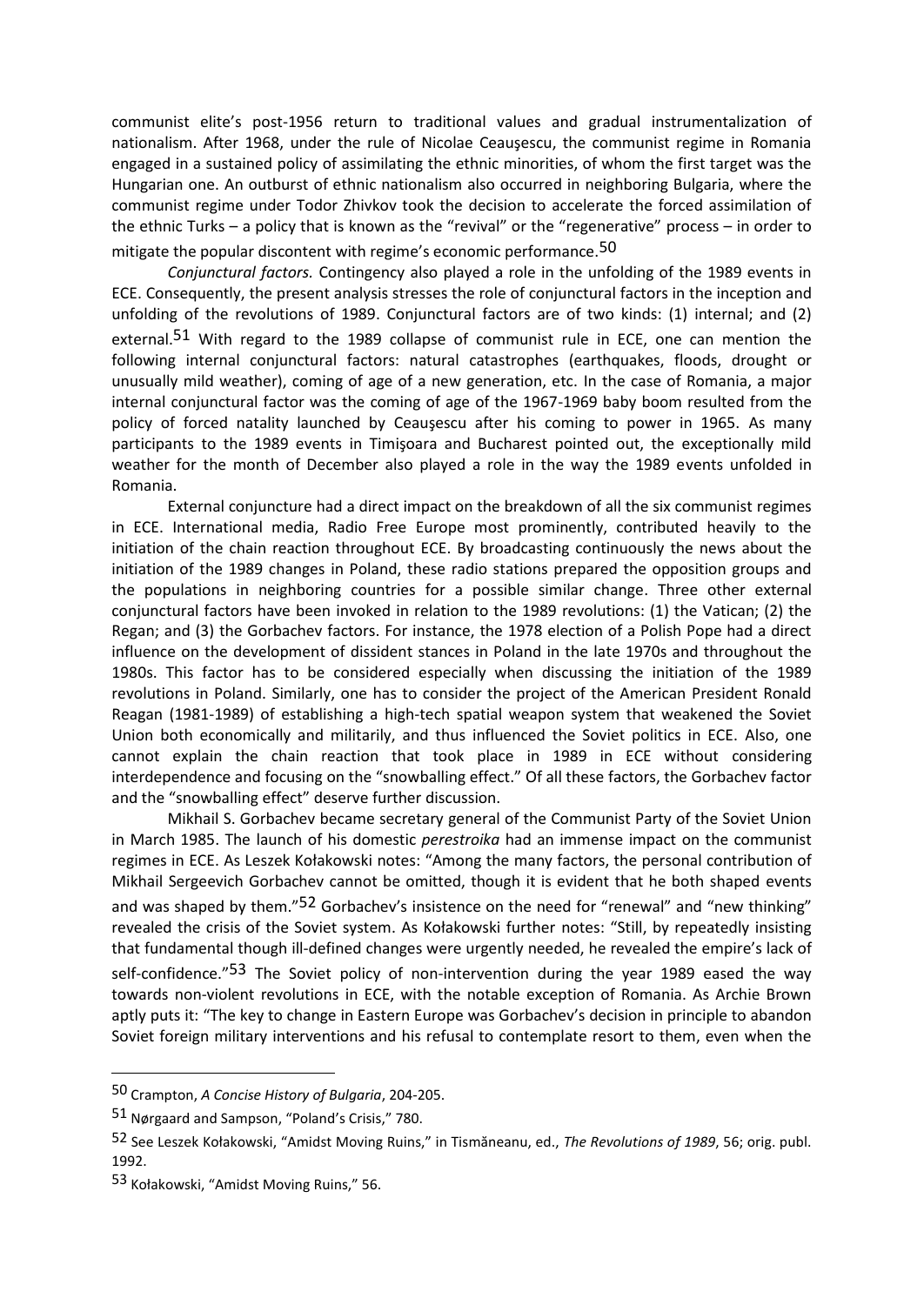communist elite's post-1956 return to traditional values and gradual instrumentalization of nationalism. After 1968, under the rule of Nicolae Ceauşescu, the communist regime in Romania engaged in a sustained policy of assimilating the ethnic minorities, of whom the first target was the Hungarian one. An outburst of ethnic nationalism also occurred in neighboring Bulgaria, where the communist regime under Todor Zhivkov took the decision to accelerate the forced assimilation of the ethnic Turks – a policy that is known as the "revival" or the "regenerative" process – in order to mitigate the popular discontent with regime's economic performance.<sup>50</sup>

*Conjunctural factors.* Contingency also played a role in the unfolding of the 1989 events in ECE. Consequently, the present analysis stresses the role of conjunctural factors in the inception and unfolding of the revolutions of 1989. Conjunctural factors are of two kinds: (1) internal; and (2) external.<sup>51</sup> With regard to the 1989 collapse of communist rule in ECE, one can mention the following internal conjunctural factors: natural catastrophes (earthquakes, floods, drought or unusually mild weather), coming of age of a new generation, etc. In the case of Romania, a major internal conjunctural factor was the coming of age of the 1967-1969 baby boom resulted from the policy of forced natality launched by Ceauşescu after his coming to power in 1965. As many participants to the 1989 events in Timişoara and Bucharest pointed out, the exceptionally mild weather for the month of December also played a role in the way the 1989 events unfolded in Romania.

External conjuncture had a direct impact on the breakdown of all the six communist regimes in ECE. International media, Radio Free Europe most prominently, contributed heavily to the initiation of the chain reaction throughout ECE. By broadcasting continuously the news about the initiation of the 1989 changes in Poland, these radio stations prepared the opposition groups and the populations in neighboring countries for a possible similar change. Three other external conjunctural factors have been invoked in relation to the 1989 revolutions: (1) the Vatican; (2) the Regan; and (3) the Gorbachev factors. For instance, the 1978 election of a Polish Pope had a direct influence on the development of dissident stances in Poland in the late 1970s and throughout the 1980s. This factor has to be considered especially when discussing the initiation of the 1989 revolutions in Poland. Similarly, one has to consider the project of the American President Ronald Reagan (1981-1989) of establishing a high-tech spatial weapon system that weakened the Soviet Union both economically and militarily, and thus influenced the Soviet politics in ECE. Also, one cannot explain the chain reaction that took place in 1989 in ECE without considering interdependence and focusing on the "snowballing effect." Of all these factors, the Gorbachev factor and the "snowballing effect" deserve further discussion.

Mikhail S. Gorbachev became secretary general of the Communist Party of the Soviet Union in March 1985. The launch of his domestic *perestroika* had an immense impact on the communist regimes in ECE. As Leszek Kołakowski notes: "Among the many factors, the personal contribution of Mikhail Sergeevich Gorbachev cannot be omitted, though it is evident that he both shaped events and was shaped by them."<sup>52</sup> Gorbachev's insistence on the need for "renewal" and "new thinking" revealed the crisis of the Soviet system. As Kołakowski further notes: "Still, by repeatedly insisting that fundamental though ill-defined changes were urgently needed, he revealed the empire's lack of self-confidence."<sup>53</sup> The Soviet policy of non-intervention during the year 1989 eased the way towards non-violent revolutions in ECE, with the notable exception of Romania. As Archie Brown aptly puts it: "The key to change in Eastern Europe was Gorbachev's decision in principle to abandon Soviet foreign military interventions and his refusal to contemplate resort to them, even when the

<sup>50</sup> Crampton, *A Concise History of Bulgaria*, 204-205.

<sup>51</sup> Nørgaard and Sampson, "Poland's Crisis," 780.

<sup>52</sup> See Leszek Kołakowski, "Amidst Moving Ruins," in Tismăneanu, ed., *The Revolutions of 1989*, 56; orig. publ. 1992.

<sup>53</sup> Kołakowski, "Amidst Moving Ruins," 56.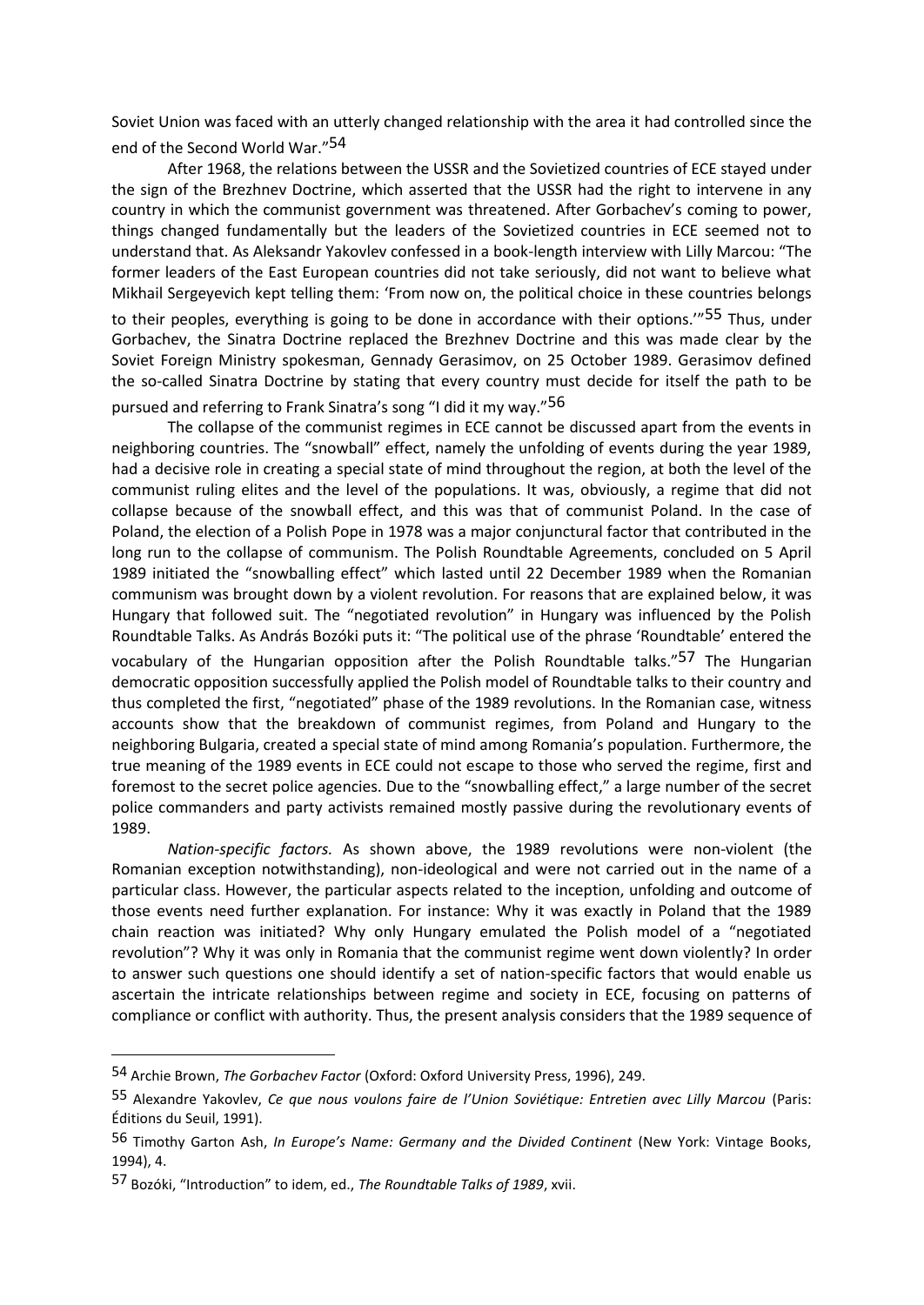Soviet Union was faced with an utterly changed relationship with the area it had controlled since the end of the Second World War." 54

After 1968, the relations between the USSR and the Sovietized countries of ECE stayed under the sign of the Brezhnev Doctrine, which asserted that the USSR had the right to intervene in any country in which the communist government was threatened. After Gorbachev's coming to power, things changed fundamentally but the leaders of the Sovietized countries in ECE seemed not to understand that. As Aleksandr Yakovlev confessed in a book-length interview with Lilly Marcou: "The former leaders of the East European countries did not take seriously, did not want to believe what Mikhail Sergeyevich kept telling them: 'From now on, the political choice in these countries belongs to their peoples, everything is going to be done in accordance with their options.<sup>"55</sup> Thus, under Gorbachev, the Sinatra Doctrine replaced the Brezhnev Doctrine and this was made clear by the Soviet Foreign Ministry spokesman, Gennady Gerasimov, on 25 October 1989. Gerasimov defined the so-called Sinatra Doctrine by stating that every country must decide for itself the path to be pursued and referring to Frank Sinatra's song "I did it my way."56

The collapse of the communist regimes in ECE cannot be discussed apart from the events in neighboring countries. The "snowball" effect, namely the unfolding of events during the year 1989, had a decisive role in creating a special state of mind throughout the region, at both the level of the communist ruling elites and the level of the populations. It was, obviously, a regime that did not collapse because of the snowball effect, and this was that of communist Poland. In the case of Poland, the election of a Polish Pope in 1978 was a major conjunctural factor that contributed in the long run to the collapse of communism. The Polish Roundtable Agreements, concluded on 5 April 1989 initiated the "snowballing effect" which lasted until 22 December 1989 when the Romanian communism was brought down by a violent revolution. For reasons that are explained below, it was Hungary that followed suit. The "negotiated revolution" in Hungary was influenced by the Polish Roundtable Talks. As András Bozóki puts it: "The political use of the phrase 'Roundtable' entered the vocabulary of the Hungarian opposition after the Polish Roundtable talks."57 The Hungarian democratic opposition successfully applied the Polish model of Roundtable talks to their country and thus completed the first, "negotiated" phase of the 1989 revolutions. In the Romanian case, witness accounts show that the breakdown of communist regimes, from Poland and Hungary to the neighboring Bulgaria, created a special state of mind among Romania's population. Furthermore, the true meaning of the 1989 events in ECE could not escape to those who served the regime, first and foremost to the secret police agencies. Due to the "snowballing effect," a large number of the secret police commanders and party activists remained mostly passive during the revolutionary events of 1989.

*Nation-specific factors.* As shown above, the 1989 revolutions were non-violent (the Romanian exception notwithstanding), non-ideological and were not carried out in the name of a particular class. However, the particular aspects related to the inception, unfolding and outcome of those events need further explanation. For instance: Why it was exactly in Poland that the 1989 chain reaction was initiated? Why only Hungary emulated the Polish model of a "negotiated revolution"? Why it was only in Romania that the communist regime went down violently? In order to answer such questions one should identify a set of nation-specific factors that would enable us ascertain the intricate relationships between regime and society in ECE, focusing on patterns of compliance or conflict with authority. Thus, the present analysis considers that the 1989 sequence of

<sup>54</sup> Archie Brown, *The Gorbachev Factor* (Oxford: Oxford University Press, 1996), 249.

<sup>55</sup> Alexandre Yakovlev, *Ce que nous voulons faire de l'Union Soviétique: Entretien avec Lilly Marcou* (Paris: Éditions du Seuil, 1991).

<sup>56</sup> Timothy Garton Ash, *In Europe's Name: Germany and the Divided Continent* (New York: Vintage Books, 1994), 4.

<sup>57</sup> Bozóki, "Introduction" to idem, ed., *The Roundtable Talks of 1989*, xvii.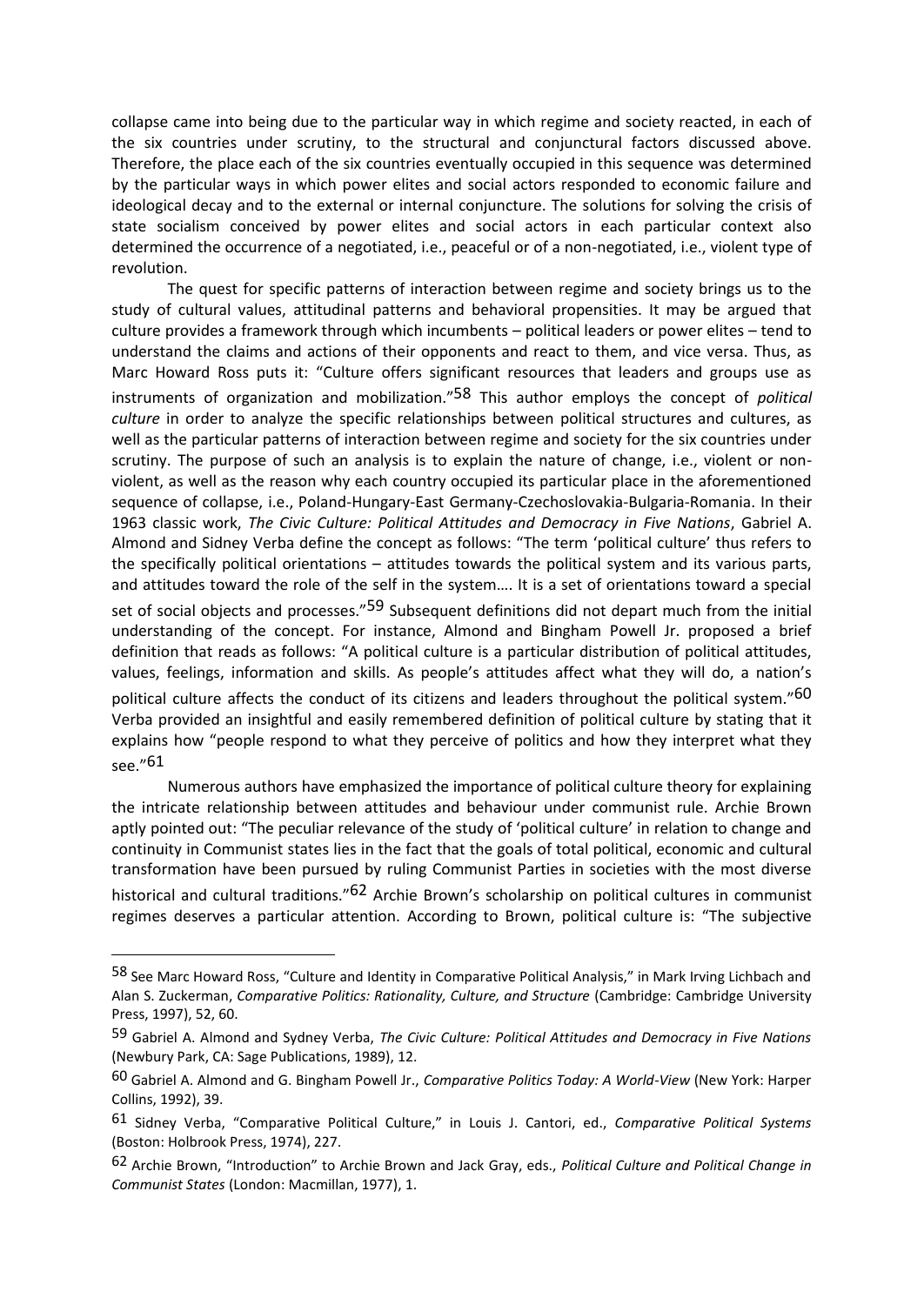collapse came into being due to the particular way in which regime and society reacted, in each of the six countries under scrutiny, to the structural and conjunctural factors discussed above. Therefore, the place each of the six countries eventually occupied in this sequence was determined by the particular ways in which power elites and social actors responded to economic failure and ideological decay and to the external or internal conjuncture. The solutions for solving the crisis of state socialism conceived by power elites and social actors in each particular context also determined the occurrence of a negotiated, i.e., peaceful or of a non-negotiated, i.e., violent type of revolution.

The quest for specific patterns of interaction between regime and society brings us to the study of cultural values, attitudinal patterns and behavioral propensities. It may be argued that culture provides a framework through which incumbents – political leaders or power elites – tend to understand the claims and actions of their opponents and react to them, and vice versa. Thus, as Marc Howard Ross puts it: "Culture offers significant resources that leaders and groups use as instruments of organization and mobilization."58 This author employs the concept of *political culture* in order to analyze the specific relationships between political structures and cultures, as well as the particular patterns of interaction between regime and society for the six countries under scrutiny. The purpose of such an analysis is to explain the nature of change, i.e., violent or nonviolent, as well as the reason why each country occupied its particular place in the aforementioned sequence of collapse, i.e., Poland-Hungary-East Germany-Czechoslovakia-Bulgaria-Romania. In their 1963 classic work, *The Civic Culture: Political Attitudes and Democracy in Five Nations*, Gabriel A. Almond and Sidney Verba define the concept as follows: "The term 'political culture' thus refers to the specifically political orientations – attitudes towards the political system and its various parts, and attitudes toward the role of the self in the system…. It is a set of orientations toward a special set of social objects and processes."<sup>59</sup> Subsequent definitions did not depart much from the initial understanding of the concept. For instance, Almond and Bingham Powell Jr. proposed a brief definition that reads as follows: "A political culture is a particular distribution of political attitudes, values, feelings, information and skills. As people's attitudes affect what they will do, a nation's political culture affects the conduct of its citizens and leaders throughout the political system."60 Verba provided an insightful and easily remembered definition of political culture by stating that it explains how "people respond to what they perceive of politics and how they interpret what they see."61

Numerous authors have emphasized the importance of political culture theory for explaining the intricate relationship between attitudes and behaviour under communist rule. Archie Brown aptly pointed out: "The peculiar relevance of the study of 'political culture' in relation to change and continuity in Communist states lies in the fact that the goals of total political, economic and cultural transformation have been pursued by ruling Communist Parties in societies with the most diverse historical and cultural traditions."<sup>62</sup> Archie Brown's scholarship on political cultures in communist regimes deserves a particular attention. According to Brown, political culture is: "The subjective

<sup>58</sup> See Marc Howard Ross, "Culture and Identity in Comparative Political Analysis," in Mark Irving Lichbach and Alan S. Zuckerman, *Comparative Politics: Rationality, Culture, and Structure* (Cambridge: Cambridge University Press, 1997), 52, 60.

<sup>59</sup> Gabriel A. Almond and Sydney Verba, *The Civic Culture: Political Attitudes and Democracy in Five Nations* (Newbury Park, CA: Sage Publications, 1989), 12.

<sup>60</sup> Gabriel A. Almond and G. Bingham Powell Jr., *Comparative Politics Today: A World-View* (New York: Harper Collins, 1992), 39.

<sup>61</sup> Sidney Verba, "Comparative Political Culture," in Louis J. Cantori, ed., *Comparative Political Systems* (Boston: Holbrook Press, 1974), 227.

<sup>62</sup> Archie Brown, "Introduction" to Archie Brown and Jack Gray, eds., *Political Culture and Political Change in Communist States* (London: Macmillan, 1977), 1.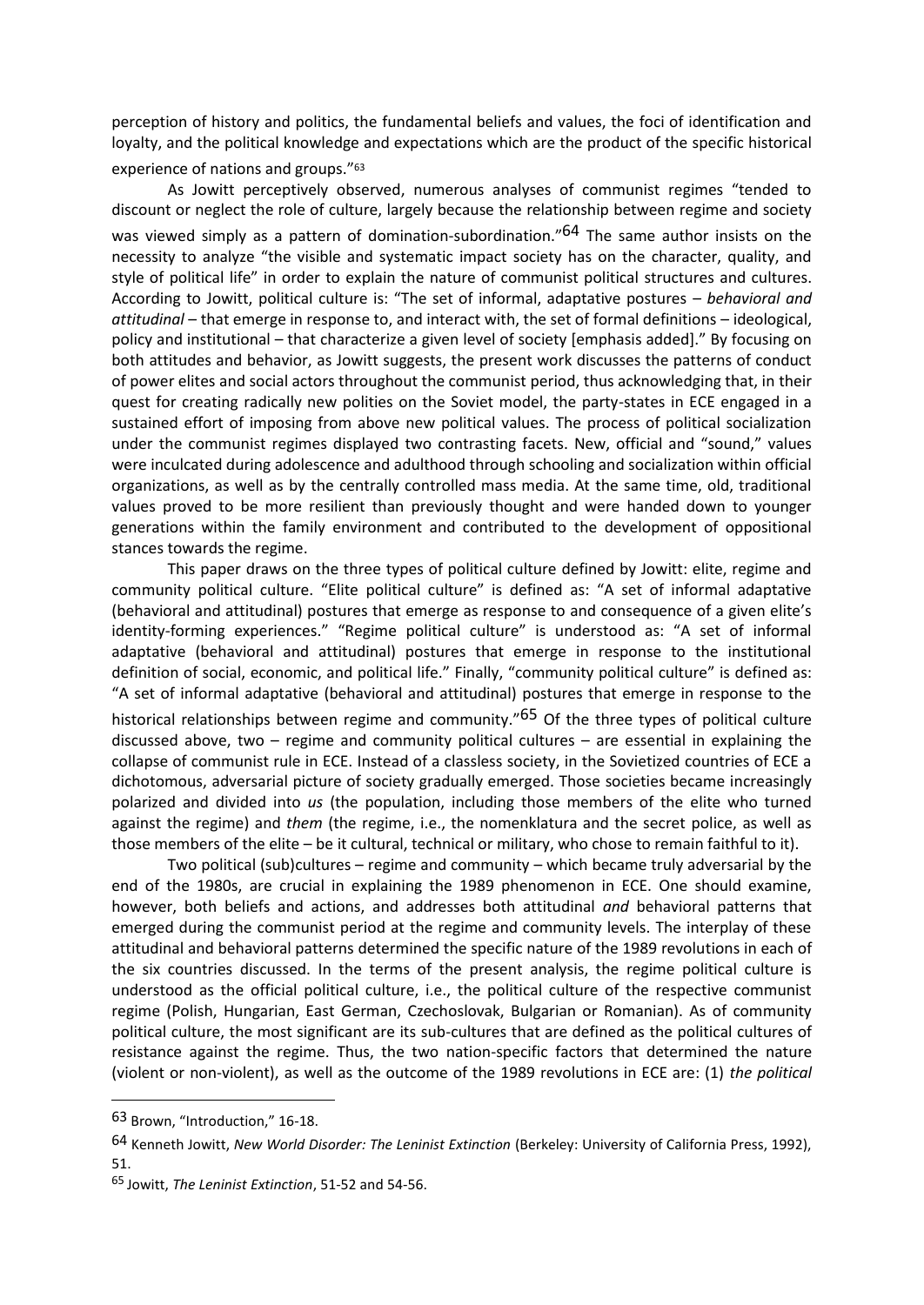perception of history and politics, the fundamental beliefs and values, the foci of identification and loyalty, and the political knowledge and expectations which are the product of the specific historical experience of nations and groups."<sup>63</sup>

As Jowitt perceptively observed, numerous analyses of communist regimes "tended to discount or neglect the role of culture, largely because the relationship between regime and society was viewed simply as a pattern of domination-subordination."<sup>64</sup> The same author insists on the necessity to analyze "the visible and systematic impact society has on the character, quality, and style of political life" in order to explain the nature of communist political structures and cultures. According to Jowitt, political culture is: "The set of informal, adaptative postures – *behavioral and attitudinal* – that emerge in response to, and interact with, the set of formal definitions – ideological, policy and institutional – that characterize a given level of society [emphasis added]." By focusing on both attitudes and behavior, as Jowitt suggests, the present work discusses the patterns of conduct of power elites and social actors throughout the communist period, thus acknowledging that, in their quest for creating radically new polities on the Soviet model, the party-states in ECE engaged in a sustained effort of imposing from above new political values. The process of political socialization under the communist regimes displayed two contrasting facets. New, official and "sound," values were inculcated during adolescence and adulthood through schooling and socialization within official organizations, as well as by the centrally controlled mass media. At the same time, old, traditional values proved to be more resilient than previously thought and were handed down to younger generations within the family environment and contributed to the development of oppositional stances towards the regime.

This paper draws on the three types of political culture defined by Jowitt: elite, regime and community political culture. "Elite political culture" is defined as: "A set of informal adaptative (behavioral and attitudinal) postures that emerge as response to and consequence of a given elite's identity-forming experiences." "Regime political culture" is understood as: "A set of informal adaptative (behavioral and attitudinal) postures that emerge in response to the institutional definition of social, economic, and political life." Finally, "community political culture" is defined as: "A set of informal adaptative (behavioral and attitudinal) postures that emerge in response to the historical relationships between regime and community."<sup>65</sup> Of the three types of political culture discussed above, two – regime and community political cultures – are essential in explaining the collapse of communist rule in ECE. Instead of a classless society, in the Sovietized countries of ECE a dichotomous, adversarial picture of society gradually emerged. Those societies became increasingly polarized and divided into *us* (the population, including those members of the elite who turned against the regime) and *them* (the regime, i.e., the nomenklatura and the secret police, as well as those members of the elite – be it cultural, technical or military, who chose to remain faithful to it).

Two political (sub)cultures – regime and community – which became truly adversarial by the end of the 1980s, are crucial in explaining the 1989 phenomenon in ECE. One should examine, however, both beliefs and actions, and addresses both attitudinal *and* behavioral patterns that emerged during the communist period at the regime and community levels. The interplay of these attitudinal and behavioral patterns determined the specific nature of the 1989 revolutions in each of the six countries discussed. In the terms of the present analysis, the regime political culture is understood as the official political culture, i.e., the political culture of the respective communist regime (Polish, Hungarian, East German, Czechoslovak, Bulgarian or Romanian). As of community political culture, the most significant are its sub-cultures that are defined as the political cultures of resistance against the regime. Thus, the two nation-specific factors that determined the nature (violent or non-violent), as well as the outcome of the 1989 revolutions in ECE are: (1) *the political* 

<sup>63</sup> Brown, "Introduction," 16-18.

<sup>64</sup> Kenneth Jowitt, *New World Disorder: The Leninist Extinction* (Berkeley: University of California Press, 1992), 51.

<sup>65</sup> Jowitt, *The Leninist Extinction*, 51-52 and 54-56.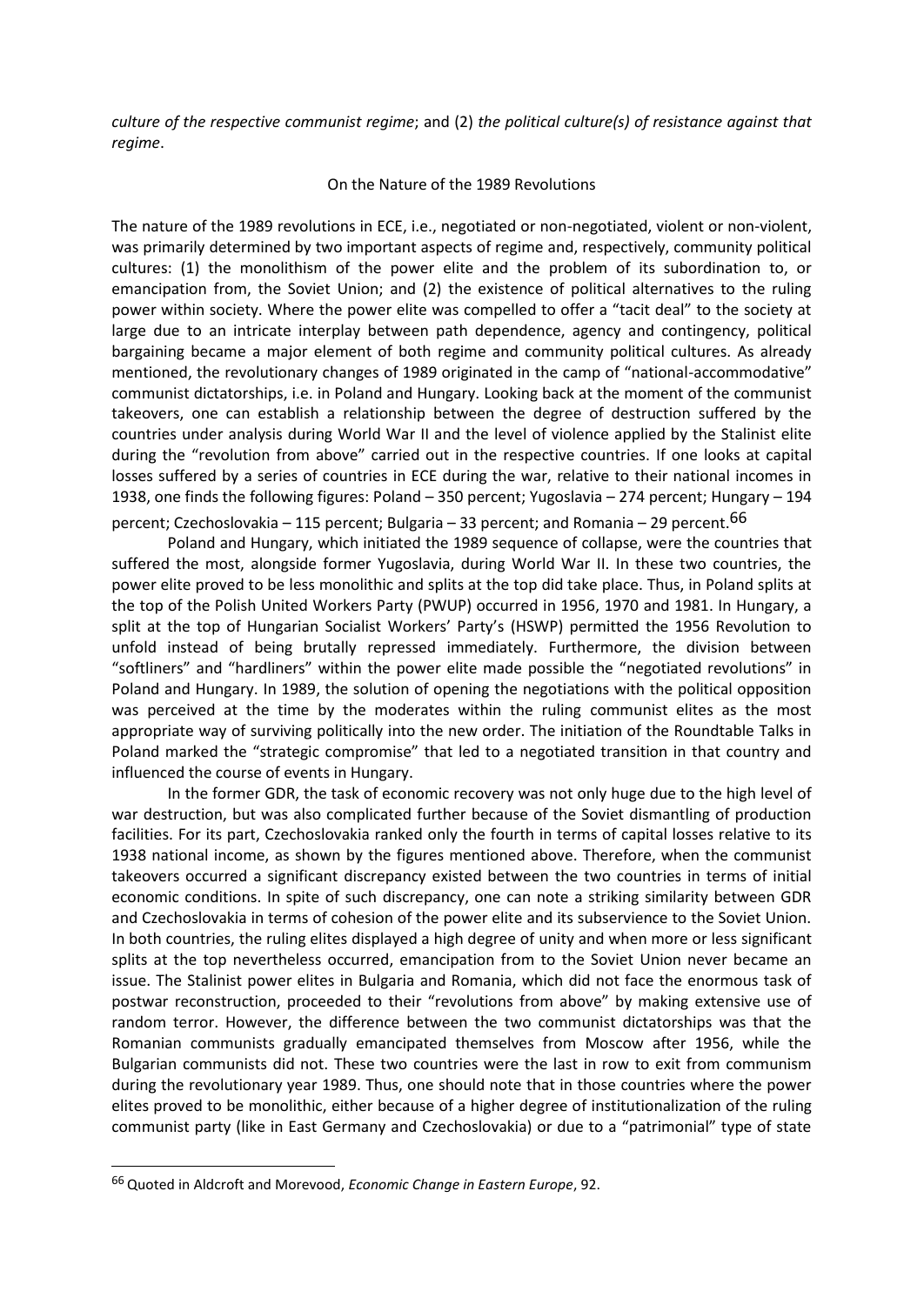*culture of the respective communist regime*; and (2) *the political culture(s) of resistance against that regime*.

On the Nature of the 1989 Revolutions

The nature of the 1989 revolutions in ECE, i.e., negotiated or non-negotiated, violent or non-violent, was primarily determined by two important aspects of regime and, respectively, community political cultures: (1) the monolithism of the power elite and the problem of its subordination to, or emancipation from, the Soviet Union; and (2) the existence of political alternatives to the ruling power within society. Where the power elite was compelled to offer a "tacit deal" to the society at large due to an intricate interplay between path dependence, agency and contingency, political bargaining became a major element of both regime and community political cultures. As already mentioned, the revolutionary changes of 1989 originated in the camp of "national-accommodative" communist dictatorships, i.e. in Poland and Hungary. Looking back at the moment of the communist takeovers, one can establish a relationship between the degree of destruction suffered by the countries under analysis during World War II and the level of violence applied by the Stalinist elite during the "revolution from above" carried out in the respective countries. If one looks at capital losses suffered by a series of countries in ECE during the war, relative to their national incomes in 1938, one finds the following figures: Poland – 350 percent; Yugoslavia – 274 percent; Hungary – 194 percent; Czechoslovakia – 115 percent; Bulgaria – 33 percent; and Romania – 29 percent.<sup>66</sup>

Poland and Hungary, which initiated the 1989 sequence of collapse, were the countries that suffered the most, alongside former Yugoslavia, during World War II. In these two countries, the power elite proved to be less monolithic and splits at the top did take place. Thus, in Poland splits at the top of the Polish United Workers Party (PWUP) occurred in 1956, 1970 and 1981. In Hungary, a split at the top of Hungarian Socialist Workers' Party's (HSWP) permitted the 1956 Revolution to unfold instead of being brutally repressed immediately. Furthermore, the division between "softliners" and "hardliners" within the power elite made possible the "negotiated revolutions" in Poland and Hungary. In 1989, the solution of opening the negotiations with the political opposition was perceived at the time by the moderates within the ruling communist elites as the most appropriate way of surviving politically into the new order. The initiation of the Roundtable Talks in Poland marked the "strategic compromise" that led to a negotiated transition in that country and influenced the course of events in Hungary.

In the former GDR, the task of economic recovery was not only huge due to the high level of war destruction, but was also complicated further because of the Soviet dismantling of production facilities. For its part, Czechoslovakia ranked only the fourth in terms of capital losses relative to its 1938 national income, as shown by the figures mentioned above. Therefore, when the communist takeovers occurred a significant discrepancy existed between the two countries in terms of initial economic conditions. In spite of such discrepancy, one can note a striking similarity between GDR and Czechoslovakia in terms of cohesion of the power elite and its subservience to the Soviet Union. In both countries, the ruling elites displayed a high degree of unity and when more or less significant splits at the top nevertheless occurred, emancipation from to the Soviet Union never became an issue. The Stalinist power elites in Bulgaria and Romania, which did not face the enormous task of postwar reconstruction, proceeded to their "revolutions from above" by making extensive use of random terror. However, the difference between the two communist dictatorships was that the Romanian communists gradually emancipated themselves from Moscow after 1956, while the Bulgarian communists did not. These two countries were the last in row to exit from communism during the revolutionary year 1989. Thus, one should note that in those countries where the power elites proved to be monolithic, either because of a higher degree of institutionalization of the ruling communist party (like in East Germany and Czechoslovakia) or due to a "patrimonial" type of state

<sup>66</sup> Quoted in Aldcroft and Morevood, *Economic Change in Eastern Europe*, 92.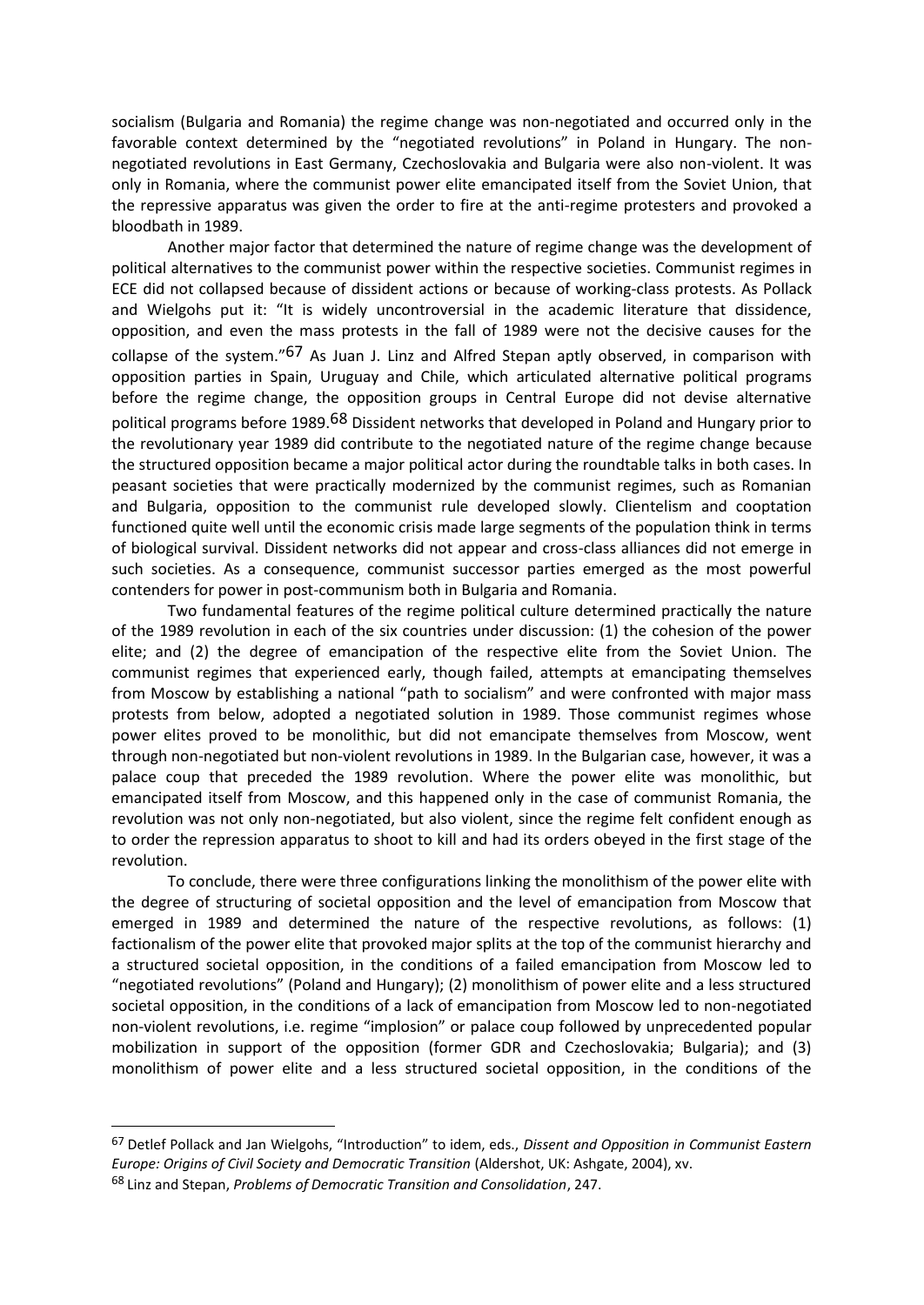socialism (Bulgaria and Romania) the regime change was non-negotiated and occurred only in the favorable context determined by the "negotiated revolutions" in Poland in Hungary. The nonnegotiated revolutions in East Germany, Czechoslovakia and Bulgaria were also non-violent. It was only in Romania, where the communist power elite emancipated itself from the Soviet Union, that the repressive apparatus was given the order to fire at the anti-regime protesters and provoked a bloodbath in 1989.

Another major factor that determined the nature of regime change was the development of political alternatives to the communist power within the respective societies. Communist regimes in ECE did not collapsed because of dissident actions or because of working-class protests. As Pollack and Wielgohs put it: "It is widely uncontroversial in the academic literature that dissidence, opposition, and even the mass protests in the fall of 1989 were not the decisive causes for the collapse of the system."67 As Juan J. Linz and Alfred Stepan aptly observed, in comparison with opposition parties in Spain, Uruguay and Chile, which articulated alternative political programs before the regime change, the opposition groups in Central Europe did not devise alternative political programs before 1989.<sup>68</sup> Dissident networks that developed in Poland and Hungary prior to the revolutionary year 1989 did contribute to the negotiated nature of the regime change because the structured opposition became a major political actor during the roundtable talks in both cases. In peasant societies that were practically modernized by the communist regimes, such as Romanian and Bulgaria, opposition to the communist rule developed slowly. Clientelism and cooptation functioned quite well until the economic crisis made large segments of the population think in terms of biological survival. Dissident networks did not appear and cross-class alliances did not emerge in such societies. As a consequence, communist successor parties emerged as the most powerful contenders for power in post-communism both in Bulgaria and Romania.

Two fundamental features of the regime political culture determined practically the nature of the 1989 revolution in each of the six countries under discussion: (1) the cohesion of the power elite; and (2) the degree of emancipation of the respective elite from the Soviet Union. The communist regimes that experienced early, though failed, attempts at emancipating themselves from Moscow by establishing a national "path to socialism" and were confronted with major mass protests from below, adopted a negotiated solution in 1989. Those communist regimes whose power elites proved to be monolithic, but did not emancipate themselves from Moscow, went through non-negotiated but non-violent revolutions in 1989. In the Bulgarian case, however, it was a palace coup that preceded the 1989 revolution. Where the power elite was monolithic, but emancipated itself from Moscow, and this happened only in the case of communist Romania, the revolution was not only non-negotiated, but also violent, since the regime felt confident enough as to order the repression apparatus to shoot to kill and had its orders obeyed in the first stage of the revolution.

To conclude, there were three configurations linking the monolithism of the power elite with the degree of structuring of societal opposition and the level of emancipation from Moscow that emerged in 1989 and determined the nature of the respective revolutions, as follows: (1) factionalism of the power elite that provoked major splits at the top of the communist hierarchy and a structured societal opposition, in the conditions of a failed emancipation from Moscow led to "negotiated revolutions" (Poland and Hungary); (2) monolithism of power elite and a less structured societal opposition, in the conditions of a lack of emancipation from Moscow led to non-negotiated non-violent revolutions, i.e. regime "implosion" or palace coup followed by unprecedented popular mobilization in support of the opposition (former GDR and Czechoslovakia; Bulgaria); and (3) monolithism of power elite and a less structured societal opposition, in the conditions of the

<sup>67</sup> Detlef Pollack and Jan Wielgohs, "Introduction" to idem, eds., *Dissent and Opposition in Communist Eastern Europe: Origins of Civil Society and Democratic Transition* (Aldershot, UK: Ashgate, 2004), xv. <sup>68</sup> Linz and Stepan, *Problems of Democratic Transition and Consolidation*, 247.